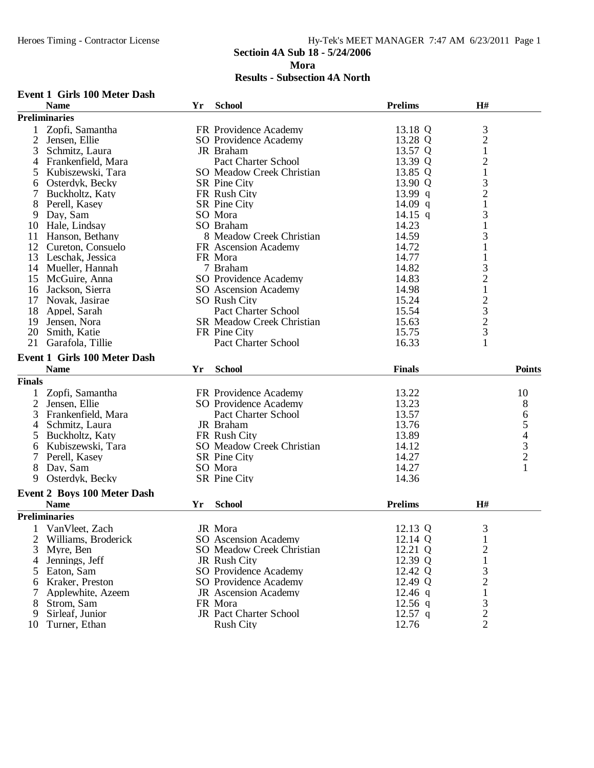**Event 1 Girls 100 Meter Dash**

# **Sectioin 4A Sub 18 - 5/24/2006**

**Mora**

|                | <b>Name</b>                         | Yr | <b>School</b>                    | <b>Prelims</b> | H#                                              |               |
|----------------|-------------------------------------|----|----------------------------------|----------------|-------------------------------------------------|---------------|
|                | <b>Preliminaries</b>                |    |                                  |                |                                                 |               |
| 1              | Zopfi, Samantha                     |    | FR Providence Academy            | 13.18 Q        | 3                                               |               |
| $\overline{2}$ | Jensen, Ellie                       |    | SO Providence Academy            | 13.28 Q        | $\overline{c}$                                  |               |
| 3              | Schmitz, Laura                      |    | JR Braham                        | 13.57 Q        | $\mathbf{1}$                                    |               |
| 4              | Frankenfield, Mara                  |    | <b>Pact Charter School</b>       | 13.39 Q        |                                                 |               |
| 5              | Kubiszewski, Tara                   |    | <b>SO</b> Meadow Creek Christian | 13.85 Q        | $\frac{2}{1}$                                   |               |
| 6              | Osterdyk, Becky                     |    | <b>SR</b> Pine City              | 13.90 Q        |                                                 |               |
| $\tau$         | Buckholtz, Katy                     |    | FR Rush City                     | 13.99 q        | $\begin{array}{c} 3 \\ 2 \\ 1 \end{array}$      |               |
| 8              | Perell, Kasey                       |    | <b>SR</b> Pine City              | 14.09 $q$      |                                                 |               |
| 9              | Day, Sam                            |    | SO Mora                          | 14.15 q        | 3                                               |               |
|                | 10 Hale, Lindsay                    |    | SO Braham                        | 14.23          | $\mathbf{1}$                                    |               |
| 11             | Hanson, Bethany                     |    | 8 Meadow Creek Christian         | 14.59          | 3                                               |               |
| 12             | Cureton, Consuelo                   |    | FR Ascension Academy             | 14.72          | $\mathbf{1}$                                    |               |
|                | 13 Leschak, Jessica                 |    | FR Mora                          | 14.77          | $\mathbf{1}$                                    |               |
|                | 14 Mueller, Hannah                  |    | 7 Braham                         | 14.82          |                                                 |               |
|                | 15 McGuire, Anna                    |    | <b>SO Providence Academy</b>     | 14.83          | $\begin{array}{c} 3 \\ 2 \\ 1 \end{array}$      |               |
|                | 16 Jackson, Sierra                  |    | SO Ascension Academy             | 14.98          |                                                 |               |
| 17             | Novak, Jasirae                      |    | <b>SO Rush City</b>              | 15.24          |                                                 |               |
| 18             | Appel, Sarah                        |    | Pact Charter School              | 15.54          | $\begin{array}{c} 2 \\ 3 \\ 2 \\ 3 \end{array}$ |               |
|                |                                     |    | SR Meadow Creek Christian        | 15.63          |                                                 |               |
| 19             | Jensen, Nora                        |    |                                  |                |                                                 |               |
| 20             | Smith, Katie                        |    | FR Pine City                     | 15.75          |                                                 |               |
| 21             | Garafola, Tillie                    |    | <b>Pact Charter School</b>       | 16.33          | $\mathbf{1}$                                    |               |
|                | <b>Event 1 Girls 100 Meter Dash</b> |    |                                  |                |                                                 |               |
|                | <b>Name</b>                         | Yr | <b>School</b>                    | <b>Finals</b>  |                                                 | <b>Points</b> |
| <b>Finals</b>  |                                     |    |                                  |                |                                                 |               |
| 1              | Zopfi, Samantha                     |    | FR Providence Academy            | 13.22          |                                                 | 10            |
| $\overline{2}$ | Jensen, Ellie                       |    | SO Providence Academy            | 13.23          |                                                 | 8             |
| 3              | Frankenfield, Mara                  |    | Pact Charter School              | 13.57          |                                                 |               |
| 4              | Schmitz, Laura                      |    | JR Braham                        | 13.76          |                                                 | 65432         |
| 5              | Buckholtz, Katy                     |    | FR Rush City                     | 13.89          |                                                 |               |
| 6              | Kubiszewski, Tara                   |    | <b>SO</b> Meadow Creek Christian | 14.12          |                                                 |               |
| 7              | Perell, Kasey                       |    | <b>SR</b> Pine City              | 14.27          |                                                 |               |
| 8              | Day, Sam                            |    | SO Mora                          | 14.27          |                                                 | $\mathbf{1}$  |
| 9              | Osterdyk, Becky                     |    | SR Pine City                     | 14.36          |                                                 |               |
|                |                                     |    |                                  |                |                                                 |               |
|                | <b>Event 2 Boys 100 Meter Dash</b>  |    |                                  |                |                                                 |               |
|                | <b>Name</b>                         | Yr | <b>School</b>                    | <b>Prelims</b> | H#                                              |               |
|                | <b>Preliminaries</b>                |    |                                  |                |                                                 |               |
| $\mathbf{1}$   | VanVleet, Zach                      |    | JR Mora                          | 12.13 Q        | 3                                               |               |
| 2              | Williams, Broderick                 |    | SO Ascension Academy             | 12.14 Q        |                                                 |               |
| 3              | Myre, Ben                           |    | <b>SO</b> Meadow Creek Christian | 12.21 Q        | $\overline{c}$                                  |               |
| 4              | Jennings, Jeff                      |    | JR Rush City                     | 12.39 Q        | $\mathbf{1}$                                    |               |
| 5              | Eaton, Sam                          |    | <b>SO Providence Academy</b>     | 12.42 Q        |                                                 |               |
| 6              | Kraker, Preston                     |    | SO Providence Academy            | 12.49 Q        | $\frac{3}{2}$                                   |               |
| 7              | Applewhite, Azeem                   |    | <b>JR</b> Ascension Academy      | $12.46$ q      | $\mathbf{1}$                                    |               |
| 8              | Strom, Sam                          |    | FR Mora                          | $12.56$ q      | 3                                               |               |
| 9              | Sirleaf, Junior                     |    | JR Pact Charter School           | $12.57$ q      |                                                 |               |
| 10             | Turner, Ethan                       |    | <b>Rush City</b>                 | 12.76          | $\frac{2}{2}$                                   |               |
|                |                                     |    |                                  |                |                                                 |               |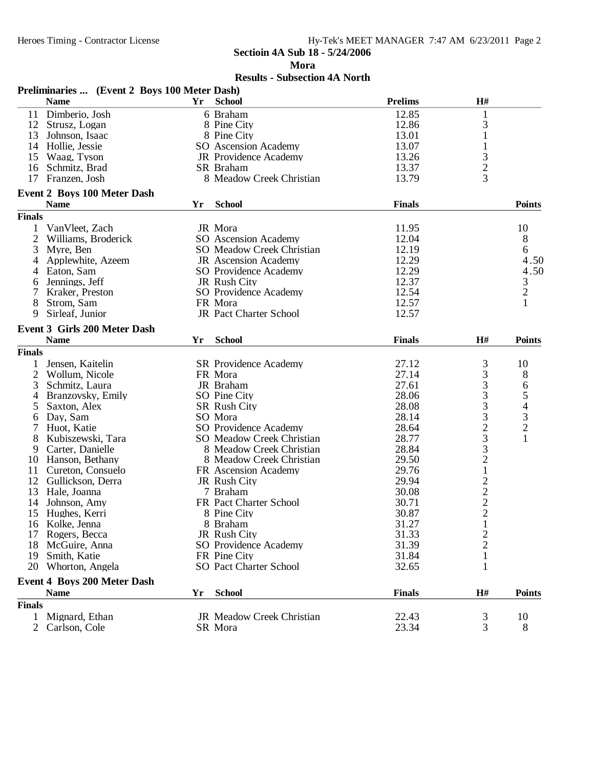**Mora**

|                | Preliminaries  (Event 2 Boys 100 Meter Dash) |    |                                  |                |                                            |               |
|----------------|----------------------------------------------|----|----------------------------------|----------------|--------------------------------------------|---------------|
|                | <b>Name</b>                                  | Yr | <b>School</b>                    | <b>Prelims</b> | H#                                         |               |
|                | 11 Dimberio, Josh                            |    | 6 Braham                         | 12.85          | $\mathbf{1}$                               |               |
|                | 12 Strusz, Logan                             |    | 8 Pine City                      | 12.86          | 3                                          |               |
|                | 13 Johnson, Isaac                            |    | 8 Pine City                      | 13.01          | 1                                          |               |
|                | 14 Hollie, Jessie                            |    | SO Ascension Academy             | 13.07          | $\mathbf{1}$                               |               |
|                | 15 Waag, Tyson                               |    | JR Providence Academy            | 13.26          | 3                                          |               |
|                | 16 Schmitz, Brad                             |    | SR Braham                        | 13.37          | $\overline{c}$                             |               |
| 17             | Franzen, Josh                                |    | 8 Meadow Creek Christian         | 13.79          | 3                                          |               |
|                | <b>Event 2 Boys 100 Meter Dash</b>           |    |                                  |                |                                            |               |
|                | <b>Name</b>                                  | Yr | <b>School</b>                    | <b>Finals</b>  |                                            | <b>Points</b> |
| <b>Finals</b>  |                                              |    |                                  |                |                                            |               |
| 1              | VanVleet, Zach                               |    | JR Mora                          | 11.95          |                                            | 10            |
| $\overline{c}$ | Williams, Broderick                          |    | SO Ascension Academy             | 12.04          |                                            | 8             |
| 3              | Myre, Ben                                    |    | <b>SO</b> Meadow Creek Christian | 12.19          |                                            | 6             |
| 4              | Applewhite, Azeem                            |    | <b>JR</b> Ascension Academy      | 12.29          |                                            | 4.50          |
| 4              | Eaton, Sam                                   |    | SO Providence Academy            | 12.29          |                                            | 4.50          |
| 6              | Jennings, Jeff                               |    | JR Rush City                     | 12.37          |                                            |               |
|                | Kraker, Preston                              |    | SO Providence Academy            | 12.54          |                                            | $\frac{3}{2}$ |
| 8              | Strom, Sam                                   |    | FR Mora                          | 12.57          |                                            | $\mathbf{1}$  |
| 9              | Sirleaf, Junior                              |    | JR Pact Charter School           | 12.57          |                                            |               |
|                | <b>Event 3 Girls 200 Meter Dash</b>          |    |                                  |                |                                            |               |
|                | <b>Name</b>                                  | Yr | <b>School</b>                    | <b>Finals</b>  | H#                                         | <b>Points</b> |
| <b>Finals</b>  |                                              |    |                                  |                |                                            |               |
|                |                                              |    |                                  |                |                                            |               |
| 1              | Jensen, Kaitelin                             |    | <b>SR</b> Providence Academy     | 27.12          | 3                                          | 10            |
| $\overline{2}$ | Wollum, Nicole                               |    | FR Mora                          | 27.14          | 3                                          | 8             |
| 3              | Schmitz, Laura                               |    | JR Braham                        | 27.61          | 3<br>3                                     | 65432         |
| 4              | Branzovsky, Emily                            |    | SO Pine City                     | 28.06          |                                            |               |
| 5              | Saxton, Alex                                 |    | <b>SR Rush City</b>              | 28.08          | 3                                          |               |
| 6              | Day, Sam                                     |    | SO Mora                          | 28.14          | 3                                          |               |
| 7              | Huot, Katie                                  |    | SO Providence Academy            | 28.64          | $\frac{2}{3}$                              |               |
| 8              | Kubiszewski, Tara                            |    | <b>SO</b> Meadow Creek Christian | 28.77          |                                            |               |
| 9              | Carter, Danielle                             |    | 8 Meadow Creek Christian         | 28.84          |                                            |               |
|                | 10 Hanson, Bethany                           |    | 8 Meadow Creek Christian         | 29.50          | $\overline{c}$                             |               |
|                | 11 Cureton, Consuelo                         |    | FR Ascension Academy             | 29.76          | $\,1$                                      |               |
|                | 12 Gullickson, Derra                         |    | JR Rush City                     | 29.94          |                                            |               |
|                | 13 Hale, Joanna                              |    | 7 Braham                         | 30.08          | $\begin{array}{c} 2 \\ 2 \\ 2 \end{array}$ |               |
| 14             | Johnson, Amy                                 |    | FR Pact Charter School           | 30.71          |                                            |               |
|                | 15 Hughes, Kerri                             |    | 8 Pine City                      | 30.87          |                                            |               |
|                | 16 Kolke, Jenna                              |    | 8 Braham                         | 31.27          | $\mathbf{I}$                               |               |
| 17             | Rogers, Becca                                |    | JR Rush City                     | 31.33          | $\overline{c}$                             |               |
| 18             | McGuire, Anna                                |    | SO Providence Academy            | 31.39          | $\overline{c}$                             |               |
| 19             | Smith, Katie                                 |    | FR Pine City                     | 31.84          | 1                                          |               |
| 20             | Whorton, Angela                              |    | <b>SO Pact Charter School</b>    | 32.65          | 1                                          |               |
|                | <b>Event 4 Boys 200 Meter Dash</b>           |    |                                  |                |                                            |               |
|                | <b>Name</b>                                  | Yr | <b>School</b>                    | <b>Finals</b>  | H#                                         | <b>Points</b> |
| <b>Finals</b>  |                                              |    |                                  |                |                                            |               |
| 1              | Mignard, Ethan                               |    | JR Meadow Creek Christian        | 22.43          | 3                                          | 10            |
| $\overline{2}$ | Carlson, Cole                                |    | SR Mora                          | 23.34          | 3                                          | 8             |
|                |                                              |    |                                  |                |                                            |               |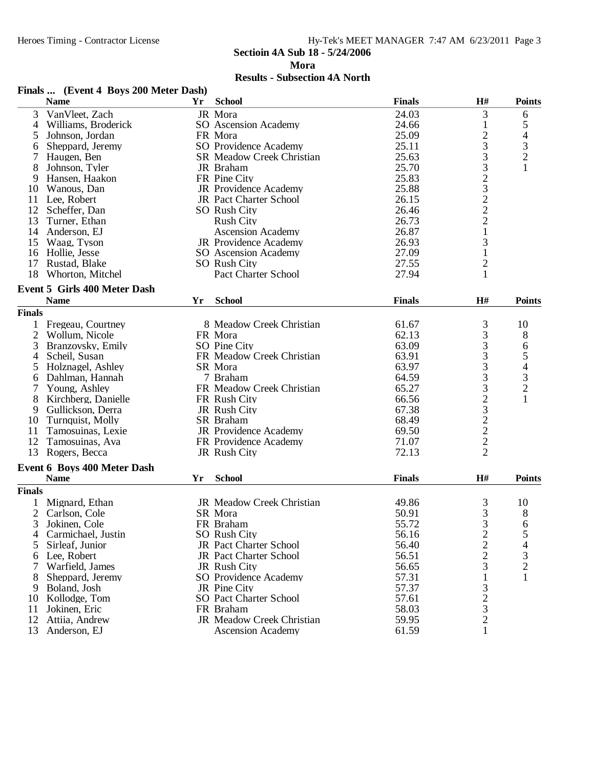**Mora**

|                | Finals  (Event 4 Boys 200 Meter Dash) |    |                                  |               |                 |                                                 |
|----------------|---------------------------------------|----|----------------------------------|---------------|-----------------|-------------------------------------------------|
|                | <b>Name</b>                           | Yr | <b>School</b>                    | <b>Finals</b> | H#              | <b>Points</b>                                   |
| 3              | VanVleet, Zach                        |    | JR Mora                          | 24.03         | 3               | 6                                               |
| 4              | Williams, Broderick                   |    | SO Ascension Academy             | 24.66         | 1               |                                                 |
| 5              | Johnson, Jordan                       |    | FR Mora                          | 25.09         |                 | $\begin{array}{c} 5 \\ 4 \\ 3 \\ 2 \end{array}$ |
| 6              | Sheppard, Jeremy                      |    | SO Providence Academy            | 25.11         | $\frac{2}{3}$   |                                                 |
| 7              | Haugen, Ben                           |    | <b>SR Meadow Creek Christian</b> | 25.63         | 3               |                                                 |
| 8              | Johnson, Tyler                        |    | JR Braham                        | 25.70         | 3               | $\mathbf{1}$                                    |
| 9              | Hansen, Haakon                        |    | FR Pine City                     | 25.83         |                 |                                                 |
| 10             | Wanous, Dan                           |    | JR Providence Academy            | 25.88         | $2322$<br>$221$ |                                                 |
|                | 11 Lee, Robert                        |    | JR Pact Charter School           | 26.15         |                 |                                                 |
|                | 12 Scheffer, Dan                      |    | SO Rush City                     | 26.46         |                 |                                                 |
| 13             | Turner, Ethan                         |    | <b>Rush City</b>                 | 26.73         |                 |                                                 |
| 14             | Anderson, EJ                          |    | <b>Ascension Academy</b>         | 26.87         |                 |                                                 |
| 15             | Waag, Tyson                           |    | JR Providence Academy            | 26.93         | 3               |                                                 |
| 16             | Hollie, Jesse                         |    | SO Ascension Academy             | 27.09         | $\mathbf{1}$    |                                                 |
|                | 17 Rustad, Blake                      |    | SO Rush City                     | 27.55         | $\overline{c}$  |                                                 |
|                |                                       |    |                                  |               |                 |                                                 |
| 18             | Whorton, Mitchel                      |    | <b>Pact Charter School</b>       | 27.94         | $\mathbf{1}$    |                                                 |
|                | <b>Event 5 Girls 400 Meter Dash</b>   |    |                                  |               |                 |                                                 |
|                | <b>Name</b>                           | Yr | <b>School</b>                    | <b>Finals</b> | H#              | <b>Points</b>                                   |
| <b>Finals</b>  |                                       |    |                                  |               |                 |                                                 |
|                | 1 Fregeau, Courtney                   |    | 8 Meadow Creek Christian         | 61.67         | 3               | 10                                              |
| 2              | Wollum, Nicole                        |    | FR Mora                          | 62.13         | 3               | 8                                               |
| 3              | Branzovsky, Emily                     |    | SO Pine City                     | 63.09         |                 |                                                 |
| 4              | Scheil, Susan                         |    | FR Meadow Creek Christian        | 63.91         | $\frac{3}{3}$   | 65432                                           |
| 5              | Holznagel, Ashley                     |    | SR Mora                          | 63.97         | $\frac{3}{3}$   |                                                 |
| 6              | Dahlman, Hannah                       |    | 7 Braham                         | 64.59         |                 |                                                 |
| 7              | Young, Ashley                         |    | FR Meadow Creek Christian        | 65.27         | 3               |                                                 |
| 8              | Kirchberg, Danielle                   |    | FR Rush City                     | 66.56         |                 | $\mathbf{1}$                                    |
| 9              | Gullickson, Derra                     |    | JR Rush City                     | 67.38         | 23222           |                                                 |
| 10             | Turnquist, Molly                      |    | SR Braham                        | 68.49         |                 |                                                 |
| 11             | Tamosuinas, Lexie                     |    | JR Providence Academy            | 69.50         |                 |                                                 |
| 12             | Tamosuinas, Ava                       |    | FR Providence Academy            | 71.07         |                 |                                                 |
| 13             | Rogers, Becca                         |    | JR Rush City                     | 72.13         |                 |                                                 |
|                | Event 6 Boys 400 Meter Dash           |    |                                  |               |                 |                                                 |
|                | <b>Name</b>                           | Yr | <b>School</b>                    | <b>Finals</b> | H#              | <b>Points</b>                                   |
| <b>Finals</b>  |                                       |    |                                  |               |                 |                                                 |
|                | Mignard, Ethan                        |    | JR Meadow Creek Christian        | 49.86         | 3               | 10                                              |
| $\overline{2}$ | Carlson, Cole                         |    | SR Mora                          | 50.91         | 3               | 8                                               |
| 3              | Jokinen, Cole                         |    | FR Braham                        | 55.72         | 3               | 6                                               |
| 4              | Carmichael, Justin                    |    | SO Rush City                     | 56.16         |                 | 5                                               |
|                |                                       |    | JR Pact Charter School           |               | $\frac{2}{2}$   | $\overline{\mathcal{L}}$                        |
| 5              | Sirleaf, Junior                       |    |                                  | 56.40         |                 |                                                 |
| 6              | Lee, Robert                           |    | <b>JR</b> Pact Charter School    | 56.51         |                 | $\frac{3}{2}$                                   |
| 7              | Warfield, James                       |    | JR Rush City                     | 56.65         | 3               |                                                 |
| 8              | Sheppard, Jeremy                      |    | SO Providence Academy            | 57.31         | 1               | 1                                               |
| 9              | Boland, Josh                          |    | JR Pine City                     | 57.37         | $\frac{3}{2}$   |                                                 |
| 10             | Kollodge, Tom                         |    | <b>SO Pact Charter School</b>    | 57.61         |                 |                                                 |
| 11             | Jokinen, Eric                         |    | FR Braham                        | 58.03         |                 |                                                 |
| 12             | Attiia, Andrew                        |    | JR Meadow Creek Christian        | 59.95         | $\overline{c}$  |                                                 |
| 13             | Anderson, EJ                          |    | <b>Ascension Academy</b>         | 61.59         | $\mathbf{1}$    |                                                 |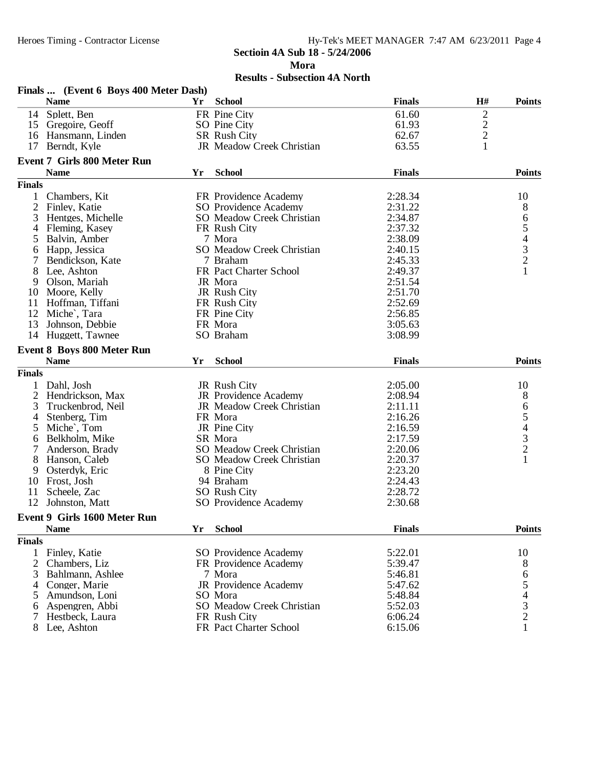#### **Sectioin 4A Sub 18 - 5/24/2006 Mora Results - Subsection 4A North**

|                | Finals  (Event 6 Boys 400 Meter Dash) |    |                                  |               |                |               |
|----------------|---------------------------------------|----|----------------------------------|---------------|----------------|---------------|
|                | <b>Name</b>                           | Yr | <b>School</b>                    | <b>Finals</b> | H#             | <b>Points</b> |
|                | 14 Splett, Ben                        |    | FR Pine City                     | 61.60         | $\overline{c}$ |               |
|                | 15 Gregoire, Geoff                    |    | SO Pine City                     | 61.93         | $\frac{2}{2}$  |               |
|                | 16 Hansmann, Linden                   |    | SR Rush City                     | 62.67         |                |               |
|                | 17 Berndt, Kyle                       |    | JR Meadow Creek Christian        | 63.55         | 1              |               |
|                | <b>Event 7 Girls 800 Meter Run</b>    |    |                                  |               |                |               |
|                | <b>Name</b>                           | Yr | <b>School</b>                    | <b>Finals</b> |                | <b>Points</b> |
| <b>Finals</b>  |                                       |    |                                  |               |                |               |
| $\mathbf{1}$   | Chambers, Kit                         |    | FR Providence Academy            | 2:28.34       |                | 10            |
| $\overline{2}$ | Finley, Katie                         |    | SO Providence Academy            | 2:31.22       |                | 8             |
| 3              | Hentges, Michelle                     |    | <b>SO</b> Meadow Creek Christian | 2:34.87       |                |               |
| 4              | Fleming, Kasey                        |    | FR Rush City                     | 2:37.32       |                |               |
| 5              | Balvin, Amber                         |    | 7 Mora                           | 2:38.09       |                |               |
| 6              | Happ, Jessica                         |    | SO Meadow Creek Christian        | 2:40.15       |                |               |
| 7              | Bendickson, Kate                      |    | 7 Braham                         | 2:45.33       |                | 654321        |
| 8              | Lee, Ashton                           |    | FR Pact Charter School           | 2:49.37       |                |               |
| 9              | Olson, Mariah                         |    | JR Mora                          | 2:51.54       |                |               |
| 10             | Moore, Kelly                          |    | JR Rush City                     | 2:51.70       |                |               |
| 11             | Hoffman, Tiffani                      |    | FR Rush City                     | 2:52.69       |                |               |
| 12             | Miche <sup>c</sup> , Tara             |    | FR Pine City                     | 2:56.85       |                |               |
| 13             | Johnson, Debbie                       |    | FR Mora                          | 3:05.63       |                |               |
| 14             | Huggett, Tawnee                       |    | SO Braham                        | 3:08.99       |                |               |
|                | <b>Event 8 Boys 800 Meter Run</b>     |    |                                  |               |                |               |
|                | <b>Name</b>                           | Yr | <b>School</b>                    | <b>Finals</b> |                | <b>Points</b> |
| <b>Finals</b>  |                                       |    |                                  |               |                |               |
| $\mathbf{1}$   | Dahl, Josh                            |    | JR Rush City                     | 2:05.00       |                | 10            |
| $\overline{2}$ | Hendrickson, Max                      |    | JR Providence Academy            | 2:08.94       |                | 8             |
| 3              | Truckenbrod, Neil                     |    | JR Meadow Creek Christian        | 2:11.11       |                |               |
| 4              | Stenberg, Tim                         |    | FR Mora                          | 2:16.26       |                |               |
| 5              | Miche', Tom                           |    | JR Pine City                     | 2:16.59       |                |               |
| 6              | Belkholm, Mike                        |    | SR Mora                          | 2:17.59       |                |               |
| 7              | Anderson, Brady                       |    | <b>SO</b> Meadow Creek Christian | 2:20.06       |                | 654321        |
| 8              | Hanson, Caleb                         |    | SO Meadow Creek Christian        | 2:20.37       |                |               |
| 9              | Osterdyk, Eric                        |    | 8 Pine City                      | 2:23.20       |                |               |
|                | 10 Frost, Josh                        |    | 94 Braham                        | 2:24.43       |                |               |
| 11             | Scheele, Zac                          |    | SO Rush City                     | 2:28.72       |                |               |
| 12             | Johnston, Matt                        |    | SO Providence Academy            | 2:30.68       |                |               |
|                | Event 9 Girls 1600 Meter Run          |    |                                  |               |                |               |
|                | <b>Name</b>                           | Yr | <b>School</b>                    | <b>Finals</b> |                | <b>Points</b> |
| <b>Finals</b>  |                                       |    |                                  |               |                |               |
|                | 1 Finley, Katie                       |    | SO Providence Academy            | 5:22.01       |                | 10            |
| $\overline{2}$ | Chambers, Liz                         |    | FR Providence Academy            | 5:39.47       |                | 8             |
|                | 3 Bahlmann, Ashlee                    |    | 7 Mora                           | 5:46.81       |                |               |
| 4              | Conger, Marie                         |    | JR Providence Academy            | 5:47.62       |                | 654321        |
|                | 5 Amundson, Loni                      |    | SO Mora                          | 5:48.84       |                |               |
| 6              | Aspengren, Abbi                       |    | <b>SO</b> Meadow Creek Christian | 5:52.03       |                |               |
|                | Hestbeck, Laura                       |    | FR Rush City                     | 6:06.24       |                |               |
| 8              | Lee, Ashton                           |    | FR Pact Charter School           | 6:15.06       |                |               |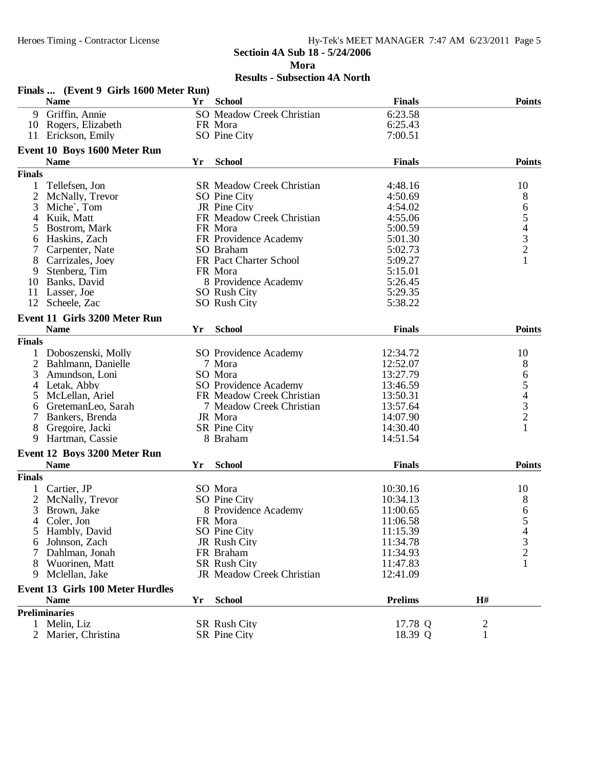#### Heroes Timing - Contractor License Hy-Tek's MEET MANAGER 7:47 AM 6/23/2011 Page 5 **Sectioin 4A Sub 18 - 5/24/2006**

**Mora**

|                | Finals  (Event 9 Girls 1600 Meter Run)  |    |                                  |                |                |                |
|----------------|-----------------------------------------|----|----------------------------------|----------------|----------------|----------------|
|                | <b>Name</b>                             | Yr | <b>School</b>                    | <b>Finals</b>  |                | <b>Points</b>  |
| 9.             | Griffin, Annie                          |    | <b>SO</b> Meadow Creek Christian | 6:23.58        |                |                |
|                | 10 Rogers, Elizabeth                    |    | FR Mora                          | 6:25.43        |                |                |
|                | 11 Erickson, Emily                      |    | SO Pine City                     | 7:00.51        |                |                |
|                | Event 10 Boys 1600 Meter Run            |    |                                  |                |                |                |
|                | <b>Name</b>                             | Yr | <b>School</b>                    | <b>Finals</b>  |                | <b>Points</b>  |
| <b>Finals</b>  |                                         |    |                                  |                |                |                |
| 1              | Tellefsen, Jon                          |    | <b>SR Meadow Creek Christian</b> | 4:48.16        |                | 10             |
| $\overline{2}$ | McNally, Trevor                         |    | SO Pine City                     | 4:50.69        |                |                |
| 3              | Miche', Tom                             |    | JR Pine City                     | 4:54.02        |                |                |
| 4              | Kuik, Matt                              |    | FR Meadow Creek Christian        | 4:55.06        |                | 865432         |
| 5              | Bostrom, Mark                           |    | FR Mora                          | 5:00.59        |                |                |
| 6              | Haskins, Zach                           |    | FR Providence Academy            | 5:01.30        |                |                |
|                | Carpenter, Nate                         |    | SO Braham                        | 5:02.73        |                |                |
| 8              | Carrizales, Joey                        |    | FR Pact Charter School           | 5:09.27        |                | $\mathbf{1}$   |
| 9              | Stenberg, Tim                           |    | FR Mora                          | 5:15.01        |                |                |
| 10             | Banks, David                            |    | 8 Providence Academy             | 5:26.45        |                |                |
| 11             | Lasser, Joe                             |    | SO Rush City                     | 5:29.35        |                |                |
| 12             | Scheele, Zac                            |    | <b>SO</b> Rush City              | 5:38.22        |                |                |
|                | Event 11 Girls 3200 Meter Run           |    |                                  |                |                |                |
|                | <b>Name</b>                             | Yr | <b>School</b>                    | <b>Finals</b>  |                | <b>Points</b>  |
| <b>Finals</b>  |                                         |    |                                  |                |                |                |
| 1              | Doboszenski, Molly                      |    | SO Providence Academy            | 12:34.72       |                | 10             |
| $\overline{2}$ |                                         |    |                                  | 12:52.07       |                |                |
| 3              | Bahlmann, Danielle<br>Amundson, Loni    |    | 7 Mora<br>SO Mora                | 13:27.79       |                | 8              |
|                |                                         |    | SO Providence Academy            |                |                | 65432          |
| 4              | Letak, Abby<br>McLellan, Ariel          |    | FR Meadow Creek Christian        | 13:46.59       |                |                |
| 5              |                                         |    |                                  | 13:50.31       |                |                |
| 6              | GretemanLeo, Sarah                      |    | 7 Meadow Creek Christian         | 13:57.64       |                |                |
| 7              | Bankers, Brenda                         |    | JR Mora                          | 14:07.90       |                | $\mathbf{1}$   |
| 8              | Gregoire, Jacki                         |    | SR Pine City                     | 14:30.40       |                |                |
| 9              | Hartman, Cassie                         |    | 8 Braham                         | 14:51.54       |                |                |
|                | Event 12 Boys 3200 Meter Run            |    |                                  |                |                |                |
|                | <b>Name</b>                             | Yr | <b>School</b>                    | <b>Finals</b>  |                | <b>Points</b>  |
| <b>Finals</b>  |                                         |    |                                  |                |                |                |
|                | Cartier, JP                             |    | SO Mora                          | 10:30.16       |                | 10             |
| 2              | McNally, Trevor                         |    | SO Pine City                     | 10:34.13       |                | 8              |
| 3              | Brown, Jake                             |    | 8 Providence Academy             | 11:00.65       |                | 6              |
| 4              | Coler, Jon                              |    | FR Mora                          | 11:06.58       |                | C              |
| 5              | Hambly, David                           |    | SO Pine City                     | 11:15.39       |                | $\overline{4}$ |
| 6              | Johnson, Zach                           |    | JR Rush City                     | 11:34.78       |                | $\frac{3}{2}$  |
|                | Dahlman, Jonah                          |    | FR Braham                        | 11:34.93       |                |                |
|                | Wuorinen, Matt                          |    | SR Rush City                     | 11:47.83       |                | $\mathbf{1}$   |
| 9.             | Mclellan, Jake                          |    | JR Meadow Creek Christian        | 12:41.09       |                |                |
|                | <b>Event 13 Girls 100 Meter Hurdles</b> |    |                                  |                |                |                |
|                | <b>Name</b>                             | Yr | <b>School</b>                    | <b>Prelims</b> | H#             |                |
|                | <b>Preliminaries</b>                    |    |                                  |                |                |                |
|                | Melin, Liz                              |    | SR Rush City                     | 17.78 Q        | $\overline{c}$ |                |
|                | 2 Marier, Christina                     |    | <b>SR</b> Pine City              | 18.39 Q        | $\mathbf{1}$   |                |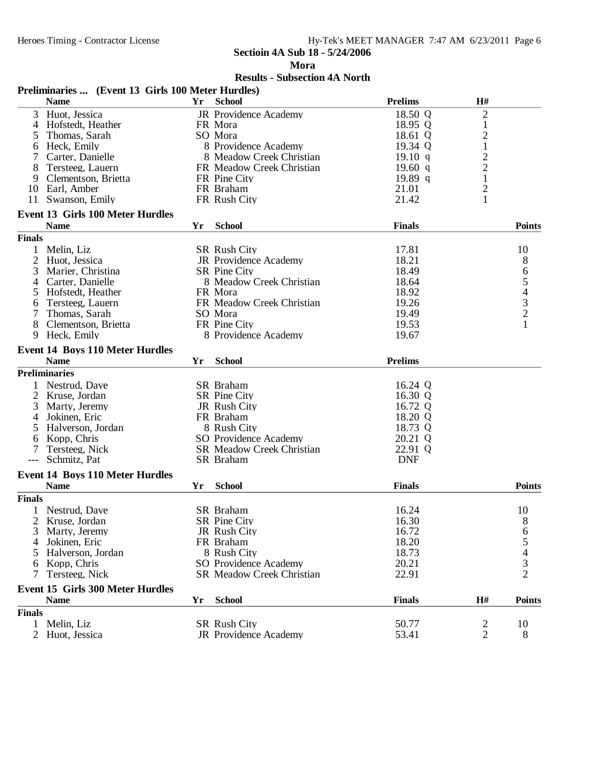**Mora**

| <b>Prelims</b><br><b>Name</b><br><b>School</b><br>H#<br>Yr<br>$\overline{2}$<br>JR Providence Academy<br>18.50 Q<br>3<br>Huot, Jessica<br>Hofstedt, Heather<br>18.95 Q<br>$\mathbf{1}$<br>4<br>FR Mora<br>$\overline{c}$<br>Thomas, Sarah<br>SO Mora<br>18.61 Q<br>5<br>$\,1\,$<br>8 Providence Academy<br>19.34 Q<br>Heck, Emily<br>6<br>$\overline{\mathbf{c}}$<br>19.10 q<br>Carter, Danielle<br>8 Meadow Creek Christian<br>$\overline{c}$<br>19.60q<br>8<br>FR Meadow Creek Christian<br>Tersteeg, Lauern<br>$\mathbf{1}$<br>Clementson, Brietta<br>FR Pine City<br>19.89 q<br>9<br>$\overline{c}$<br>10 Earl, Amber<br>FR Braham<br>21.01<br>1<br>Swanson, Emily<br>FR Rush City<br>21.42<br>11<br><b>Event 13 Girls 100 Meter Hurdles</b><br><b>School</b><br><b>Points</b><br><b>Name</b><br><b>Finals</b><br>Yr<br><b>Finals</b><br>17.81<br>Melin, Liz<br>SR Rush City<br>10<br>1<br>2<br>18.21<br>8<br>Huot, Jessica<br>JR Providence Academy<br>65432<br><b>SR</b> Pine City<br>18.49<br>3<br>Marier, Christina<br>8 Meadow Creek Christian<br>Carter, Danielle<br>18.64<br>4<br>Hofstedt, Heather<br>FR Mora<br>18.92<br>5<br>FR Meadow Creek Christian<br>19.26<br>Tersteeg, Lauern<br>6<br>Thomas, Sarah<br>SO Mora<br>19.49<br>7<br>$\mathbf{1}$<br>FR Pine City<br>19.53<br>8<br>Clementson, Brietta<br>8 Providence Academy<br>9<br>Heck, Emily<br>19.67<br><b>Event 14 Boys 110 Meter Hurdles</b><br><b>School</b><br><b>Prelims</b><br><b>Name</b><br>Yr<br><b>Preliminaries</b><br>16.24 Q<br>Nestrud, Dave<br>SR Braham<br>2<br>Kruse, Jordan<br><b>SR</b> Pine City<br>16.30 Q<br>3<br>16.72 Q<br>Marty, Jeremy<br>JR Rush City<br>18.20 Q<br>Jokinen, Eric<br>FR Braham<br>4<br>Halverson, Jordan<br>8 Rush City<br>18.73 Q<br>5<br>Kopp, Chris<br>SO Providence Academy<br>20.21 Q<br>6<br>22.91 Q<br>Tersteeg, Nick<br><b>SR Meadow Creek Christian</b><br>7<br><b>DNF</b><br>Schmitz, Pat<br><b>SR</b> Braham<br><b>Event 14 Boys 110 Meter Hurdles</b><br><b>Points</b><br><b>Name</b><br><b>School</b><br><b>Finals</b><br>Yr<br><b>Finals</b><br>16.24<br>SR Braham<br>10<br>$\mathbf{1}$<br>Nestrud, Dave<br>2<br>Kruse, Jordan<br>SR Pine City<br>16.30<br>8<br>6<br>3<br>Marty, Jeremy<br>JR Rush City<br>16.72<br>$\begin{array}{c} 5 \\ 4 \\ 2 \end{array}$<br>18.20<br>Jokinen, Eric<br>FR Braham<br>4<br>18.73<br>8 Rush City<br>Halverson, Jordan<br>5<br>20.21<br>Kopp, Chris<br>SO Providence Academy<br>6<br>22.91<br>Tersteeg, Nick<br><b>SR Meadow Creek Christian</b><br>7<br><b>Event 15 Girls 300 Meter Hurdles</b><br><b>School</b><br><b>Finals</b><br>H#<br><b>Points</b><br><b>Name</b><br>Yr<br><b>Finals</b><br>Melin, Liz<br>50.77<br>$\overline{\mathbf{c}}$<br>10<br><b>SR Rush City</b><br>1<br>$\overline{2}$<br>2 Huot, Jessica<br>JR Providence Academy<br>53.41<br>8 | Preliminaries  (Event 13 Girls 100 Meter Hurdles) |  |  |  |
|----------------------------------------------------------------------------------------------------------------------------------------------------------------------------------------------------------------------------------------------------------------------------------------------------------------------------------------------------------------------------------------------------------------------------------------------------------------------------------------------------------------------------------------------------------------------------------------------------------------------------------------------------------------------------------------------------------------------------------------------------------------------------------------------------------------------------------------------------------------------------------------------------------------------------------------------------------------------------------------------------------------------------------------------------------------------------------------------------------------------------------------------------------------------------------------------------------------------------------------------------------------------------------------------------------------------------------------------------------------------------------------------------------------------------------------------------------------------------------------------------------------------------------------------------------------------------------------------------------------------------------------------------------------------------------------------------------------------------------------------------------------------------------------------------------------------------------------------------------------------------------------------------------------------------------------------------------------------------------------------------------------------------------------------------------------------------------------------------------------------------------------------------------------------------------------------------------------------------------------------------------------------------------------------------------------------------------------------------------------------------------------------------------------------------------------------------------------------------------------------------------------------------------------------------------------------------------------------------------------------------------------------------------------------------------------------------------------------------------------------------------------------------------------------------------------------------------|---------------------------------------------------|--|--|--|
|                                                                                                                                                                                                                                                                                                                                                                                                                                                                                                                                                                                                                                                                                                                                                                                                                                                                                                                                                                                                                                                                                                                                                                                                                                                                                                                                                                                                                                                                                                                                                                                                                                                                                                                                                                                                                                                                                                                                                                                                                                                                                                                                                                                                                                                                                                                                                                                                                                                                                                                                                                                                                                                                                                                                                                                                                                  |                                                   |  |  |  |
|                                                                                                                                                                                                                                                                                                                                                                                                                                                                                                                                                                                                                                                                                                                                                                                                                                                                                                                                                                                                                                                                                                                                                                                                                                                                                                                                                                                                                                                                                                                                                                                                                                                                                                                                                                                                                                                                                                                                                                                                                                                                                                                                                                                                                                                                                                                                                                                                                                                                                                                                                                                                                                                                                                                                                                                                                                  |                                                   |  |  |  |
|                                                                                                                                                                                                                                                                                                                                                                                                                                                                                                                                                                                                                                                                                                                                                                                                                                                                                                                                                                                                                                                                                                                                                                                                                                                                                                                                                                                                                                                                                                                                                                                                                                                                                                                                                                                                                                                                                                                                                                                                                                                                                                                                                                                                                                                                                                                                                                                                                                                                                                                                                                                                                                                                                                                                                                                                                                  |                                                   |  |  |  |
|                                                                                                                                                                                                                                                                                                                                                                                                                                                                                                                                                                                                                                                                                                                                                                                                                                                                                                                                                                                                                                                                                                                                                                                                                                                                                                                                                                                                                                                                                                                                                                                                                                                                                                                                                                                                                                                                                                                                                                                                                                                                                                                                                                                                                                                                                                                                                                                                                                                                                                                                                                                                                                                                                                                                                                                                                                  |                                                   |  |  |  |
|                                                                                                                                                                                                                                                                                                                                                                                                                                                                                                                                                                                                                                                                                                                                                                                                                                                                                                                                                                                                                                                                                                                                                                                                                                                                                                                                                                                                                                                                                                                                                                                                                                                                                                                                                                                                                                                                                                                                                                                                                                                                                                                                                                                                                                                                                                                                                                                                                                                                                                                                                                                                                                                                                                                                                                                                                                  |                                                   |  |  |  |
|                                                                                                                                                                                                                                                                                                                                                                                                                                                                                                                                                                                                                                                                                                                                                                                                                                                                                                                                                                                                                                                                                                                                                                                                                                                                                                                                                                                                                                                                                                                                                                                                                                                                                                                                                                                                                                                                                                                                                                                                                                                                                                                                                                                                                                                                                                                                                                                                                                                                                                                                                                                                                                                                                                                                                                                                                                  |                                                   |  |  |  |
|                                                                                                                                                                                                                                                                                                                                                                                                                                                                                                                                                                                                                                                                                                                                                                                                                                                                                                                                                                                                                                                                                                                                                                                                                                                                                                                                                                                                                                                                                                                                                                                                                                                                                                                                                                                                                                                                                                                                                                                                                                                                                                                                                                                                                                                                                                                                                                                                                                                                                                                                                                                                                                                                                                                                                                                                                                  |                                                   |  |  |  |
|                                                                                                                                                                                                                                                                                                                                                                                                                                                                                                                                                                                                                                                                                                                                                                                                                                                                                                                                                                                                                                                                                                                                                                                                                                                                                                                                                                                                                                                                                                                                                                                                                                                                                                                                                                                                                                                                                                                                                                                                                                                                                                                                                                                                                                                                                                                                                                                                                                                                                                                                                                                                                                                                                                                                                                                                                                  |                                                   |  |  |  |
|                                                                                                                                                                                                                                                                                                                                                                                                                                                                                                                                                                                                                                                                                                                                                                                                                                                                                                                                                                                                                                                                                                                                                                                                                                                                                                                                                                                                                                                                                                                                                                                                                                                                                                                                                                                                                                                                                                                                                                                                                                                                                                                                                                                                                                                                                                                                                                                                                                                                                                                                                                                                                                                                                                                                                                                                                                  |                                                   |  |  |  |
|                                                                                                                                                                                                                                                                                                                                                                                                                                                                                                                                                                                                                                                                                                                                                                                                                                                                                                                                                                                                                                                                                                                                                                                                                                                                                                                                                                                                                                                                                                                                                                                                                                                                                                                                                                                                                                                                                                                                                                                                                                                                                                                                                                                                                                                                                                                                                                                                                                                                                                                                                                                                                                                                                                                                                                                                                                  |                                                   |  |  |  |
|                                                                                                                                                                                                                                                                                                                                                                                                                                                                                                                                                                                                                                                                                                                                                                                                                                                                                                                                                                                                                                                                                                                                                                                                                                                                                                                                                                                                                                                                                                                                                                                                                                                                                                                                                                                                                                                                                                                                                                                                                                                                                                                                                                                                                                                                                                                                                                                                                                                                                                                                                                                                                                                                                                                                                                                                                                  |                                                   |  |  |  |
|                                                                                                                                                                                                                                                                                                                                                                                                                                                                                                                                                                                                                                                                                                                                                                                                                                                                                                                                                                                                                                                                                                                                                                                                                                                                                                                                                                                                                                                                                                                                                                                                                                                                                                                                                                                                                                                                                                                                                                                                                                                                                                                                                                                                                                                                                                                                                                                                                                                                                                                                                                                                                                                                                                                                                                                                                                  |                                                   |  |  |  |
|                                                                                                                                                                                                                                                                                                                                                                                                                                                                                                                                                                                                                                                                                                                                                                                                                                                                                                                                                                                                                                                                                                                                                                                                                                                                                                                                                                                                                                                                                                                                                                                                                                                                                                                                                                                                                                                                                                                                                                                                                                                                                                                                                                                                                                                                                                                                                                                                                                                                                                                                                                                                                                                                                                                                                                                                                                  |                                                   |  |  |  |
|                                                                                                                                                                                                                                                                                                                                                                                                                                                                                                                                                                                                                                                                                                                                                                                                                                                                                                                                                                                                                                                                                                                                                                                                                                                                                                                                                                                                                                                                                                                                                                                                                                                                                                                                                                                                                                                                                                                                                                                                                                                                                                                                                                                                                                                                                                                                                                                                                                                                                                                                                                                                                                                                                                                                                                                                                                  |                                                   |  |  |  |
|                                                                                                                                                                                                                                                                                                                                                                                                                                                                                                                                                                                                                                                                                                                                                                                                                                                                                                                                                                                                                                                                                                                                                                                                                                                                                                                                                                                                                                                                                                                                                                                                                                                                                                                                                                                                                                                                                                                                                                                                                                                                                                                                                                                                                                                                                                                                                                                                                                                                                                                                                                                                                                                                                                                                                                                                                                  |                                                   |  |  |  |
|                                                                                                                                                                                                                                                                                                                                                                                                                                                                                                                                                                                                                                                                                                                                                                                                                                                                                                                                                                                                                                                                                                                                                                                                                                                                                                                                                                                                                                                                                                                                                                                                                                                                                                                                                                                                                                                                                                                                                                                                                                                                                                                                                                                                                                                                                                                                                                                                                                                                                                                                                                                                                                                                                                                                                                                                                                  |                                                   |  |  |  |
|                                                                                                                                                                                                                                                                                                                                                                                                                                                                                                                                                                                                                                                                                                                                                                                                                                                                                                                                                                                                                                                                                                                                                                                                                                                                                                                                                                                                                                                                                                                                                                                                                                                                                                                                                                                                                                                                                                                                                                                                                                                                                                                                                                                                                                                                                                                                                                                                                                                                                                                                                                                                                                                                                                                                                                                                                                  |                                                   |  |  |  |
|                                                                                                                                                                                                                                                                                                                                                                                                                                                                                                                                                                                                                                                                                                                                                                                                                                                                                                                                                                                                                                                                                                                                                                                                                                                                                                                                                                                                                                                                                                                                                                                                                                                                                                                                                                                                                                                                                                                                                                                                                                                                                                                                                                                                                                                                                                                                                                                                                                                                                                                                                                                                                                                                                                                                                                                                                                  |                                                   |  |  |  |
|                                                                                                                                                                                                                                                                                                                                                                                                                                                                                                                                                                                                                                                                                                                                                                                                                                                                                                                                                                                                                                                                                                                                                                                                                                                                                                                                                                                                                                                                                                                                                                                                                                                                                                                                                                                                                                                                                                                                                                                                                                                                                                                                                                                                                                                                                                                                                                                                                                                                                                                                                                                                                                                                                                                                                                                                                                  |                                                   |  |  |  |
|                                                                                                                                                                                                                                                                                                                                                                                                                                                                                                                                                                                                                                                                                                                                                                                                                                                                                                                                                                                                                                                                                                                                                                                                                                                                                                                                                                                                                                                                                                                                                                                                                                                                                                                                                                                                                                                                                                                                                                                                                                                                                                                                                                                                                                                                                                                                                                                                                                                                                                                                                                                                                                                                                                                                                                                                                                  |                                                   |  |  |  |
|                                                                                                                                                                                                                                                                                                                                                                                                                                                                                                                                                                                                                                                                                                                                                                                                                                                                                                                                                                                                                                                                                                                                                                                                                                                                                                                                                                                                                                                                                                                                                                                                                                                                                                                                                                                                                                                                                                                                                                                                                                                                                                                                                                                                                                                                                                                                                                                                                                                                                                                                                                                                                                                                                                                                                                                                                                  |                                                   |  |  |  |
|                                                                                                                                                                                                                                                                                                                                                                                                                                                                                                                                                                                                                                                                                                                                                                                                                                                                                                                                                                                                                                                                                                                                                                                                                                                                                                                                                                                                                                                                                                                                                                                                                                                                                                                                                                                                                                                                                                                                                                                                                                                                                                                                                                                                                                                                                                                                                                                                                                                                                                                                                                                                                                                                                                                                                                                                                                  |                                                   |  |  |  |
|                                                                                                                                                                                                                                                                                                                                                                                                                                                                                                                                                                                                                                                                                                                                                                                                                                                                                                                                                                                                                                                                                                                                                                                                                                                                                                                                                                                                                                                                                                                                                                                                                                                                                                                                                                                                                                                                                                                                                                                                                                                                                                                                                                                                                                                                                                                                                                                                                                                                                                                                                                                                                                                                                                                                                                                                                                  |                                                   |  |  |  |
|                                                                                                                                                                                                                                                                                                                                                                                                                                                                                                                                                                                                                                                                                                                                                                                                                                                                                                                                                                                                                                                                                                                                                                                                                                                                                                                                                                                                                                                                                                                                                                                                                                                                                                                                                                                                                                                                                                                                                                                                                                                                                                                                                                                                                                                                                                                                                                                                                                                                                                                                                                                                                                                                                                                                                                                                                                  |                                                   |  |  |  |
|                                                                                                                                                                                                                                                                                                                                                                                                                                                                                                                                                                                                                                                                                                                                                                                                                                                                                                                                                                                                                                                                                                                                                                                                                                                                                                                                                                                                                                                                                                                                                                                                                                                                                                                                                                                                                                                                                                                                                                                                                                                                                                                                                                                                                                                                                                                                                                                                                                                                                                                                                                                                                                                                                                                                                                                                                                  |                                                   |  |  |  |
|                                                                                                                                                                                                                                                                                                                                                                                                                                                                                                                                                                                                                                                                                                                                                                                                                                                                                                                                                                                                                                                                                                                                                                                                                                                                                                                                                                                                                                                                                                                                                                                                                                                                                                                                                                                                                                                                                                                                                                                                                                                                                                                                                                                                                                                                                                                                                                                                                                                                                                                                                                                                                                                                                                                                                                                                                                  |                                                   |  |  |  |
|                                                                                                                                                                                                                                                                                                                                                                                                                                                                                                                                                                                                                                                                                                                                                                                                                                                                                                                                                                                                                                                                                                                                                                                                                                                                                                                                                                                                                                                                                                                                                                                                                                                                                                                                                                                                                                                                                                                                                                                                                                                                                                                                                                                                                                                                                                                                                                                                                                                                                                                                                                                                                                                                                                                                                                                                                                  |                                                   |  |  |  |
|                                                                                                                                                                                                                                                                                                                                                                                                                                                                                                                                                                                                                                                                                                                                                                                                                                                                                                                                                                                                                                                                                                                                                                                                                                                                                                                                                                                                                                                                                                                                                                                                                                                                                                                                                                                                                                                                                                                                                                                                                                                                                                                                                                                                                                                                                                                                                                                                                                                                                                                                                                                                                                                                                                                                                                                                                                  |                                                   |  |  |  |
|                                                                                                                                                                                                                                                                                                                                                                                                                                                                                                                                                                                                                                                                                                                                                                                                                                                                                                                                                                                                                                                                                                                                                                                                                                                                                                                                                                                                                                                                                                                                                                                                                                                                                                                                                                                                                                                                                                                                                                                                                                                                                                                                                                                                                                                                                                                                                                                                                                                                                                                                                                                                                                                                                                                                                                                                                                  |                                                   |  |  |  |
|                                                                                                                                                                                                                                                                                                                                                                                                                                                                                                                                                                                                                                                                                                                                                                                                                                                                                                                                                                                                                                                                                                                                                                                                                                                                                                                                                                                                                                                                                                                                                                                                                                                                                                                                                                                                                                                                                                                                                                                                                                                                                                                                                                                                                                                                                                                                                                                                                                                                                                                                                                                                                                                                                                                                                                                                                                  |                                                   |  |  |  |
|                                                                                                                                                                                                                                                                                                                                                                                                                                                                                                                                                                                                                                                                                                                                                                                                                                                                                                                                                                                                                                                                                                                                                                                                                                                                                                                                                                                                                                                                                                                                                                                                                                                                                                                                                                                                                                                                                                                                                                                                                                                                                                                                                                                                                                                                                                                                                                                                                                                                                                                                                                                                                                                                                                                                                                                                                                  |                                                   |  |  |  |
|                                                                                                                                                                                                                                                                                                                                                                                                                                                                                                                                                                                                                                                                                                                                                                                                                                                                                                                                                                                                                                                                                                                                                                                                                                                                                                                                                                                                                                                                                                                                                                                                                                                                                                                                                                                                                                                                                                                                                                                                                                                                                                                                                                                                                                                                                                                                                                                                                                                                                                                                                                                                                                                                                                                                                                                                                                  |                                                   |  |  |  |
|                                                                                                                                                                                                                                                                                                                                                                                                                                                                                                                                                                                                                                                                                                                                                                                                                                                                                                                                                                                                                                                                                                                                                                                                                                                                                                                                                                                                                                                                                                                                                                                                                                                                                                                                                                                                                                                                                                                                                                                                                                                                                                                                                                                                                                                                                                                                                                                                                                                                                                                                                                                                                                                                                                                                                                                                                                  |                                                   |  |  |  |
|                                                                                                                                                                                                                                                                                                                                                                                                                                                                                                                                                                                                                                                                                                                                                                                                                                                                                                                                                                                                                                                                                                                                                                                                                                                                                                                                                                                                                                                                                                                                                                                                                                                                                                                                                                                                                                                                                                                                                                                                                                                                                                                                                                                                                                                                                                                                                                                                                                                                                                                                                                                                                                                                                                                                                                                                                                  |                                                   |  |  |  |
|                                                                                                                                                                                                                                                                                                                                                                                                                                                                                                                                                                                                                                                                                                                                                                                                                                                                                                                                                                                                                                                                                                                                                                                                                                                                                                                                                                                                                                                                                                                                                                                                                                                                                                                                                                                                                                                                                                                                                                                                                                                                                                                                                                                                                                                                                                                                                                                                                                                                                                                                                                                                                                                                                                                                                                                                                                  |                                                   |  |  |  |
|                                                                                                                                                                                                                                                                                                                                                                                                                                                                                                                                                                                                                                                                                                                                                                                                                                                                                                                                                                                                                                                                                                                                                                                                                                                                                                                                                                                                                                                                                                                                                                                                                                                                                                                                                                                                                                                                                                                                                                                                                                                                                                                                                                                                                                                                                                                                                                                                                                                                                                                                                                                                                                                                                                                                                                                                                                  |                                                   |  |  |  |
|                                                                                                                                                                                                                                                                                                                                                                                                                                                                                                                                                                                                                                                                                                                                                                                                                                                                                                                                                                                                                                                                                                                                                                                                                                                                                                                                                                                                                                                                                                                                                                                                                                                                                                                                                                                                                                                                                                                                                                                                                                                                                                                                                                                                                                                                                                                                                                                                                                                                                                                                                                                                                                                                                                                                                                                                                                  |                                                   |  |  |  |
|                                                                                                                                                                                                                                                                                                                                                                                                                                                                                                                                                                                                                                                                                                                                                                                                                                                                                                                                                                                                                                                                                                                                                                                                                                                                                                                                                                                                                                                                                                                                                                                                                                                                                                                                                                                                                                                                                                                                                                                                                                                                                                                                                                                                                                                                                                                                                                                                                                                                                                                                                                                                                                                                                                                                                                                                                                  |                                                   |  |  |  |
|                                                                                                                                                                                                                                                                                                                                                                                                                                                                                                                                                                                                                                                                                                                                                                                                                                                                                                                                                                                                                                                                                                                                                                                                                                                                                                                                                                                                                                                                                                                                                                                                                                                                                                                                                                                                                                                                                                                                                                                                                                                                                                                                                                                                                                                                                                                                                                                                                                                                                                                                                                                                                                                                                                                                                                                                                                  |                                                   |  |  |  |
|                                                                                                                                                                                                                                                                                                                                                                                                                                                                                                                                                                                                                                                                                                                                                                                                                                                                                                                                                                                                                                                                                                                                                                                                                                                                                                                                                                                                                                                                                                                                                                                                                                                                                                                                                                                                                                                                                                                                                                                                                                                                                                                                                                                                                                                                                                                                                                                                                                                                                                                                                                                                                                                                                                                                                                                                                                  |                                                   |  |  |  |
|                                                                                                                                                                                                                                                                                                                                                                                                                                                                                                                                                                                                                                                                                                                                                                                                                                                                                                                                                                                                                                                                                                                                                                                                                                                                                                                                                                                                                                                                                                                                                                                                                                                                                                                                                                                                                                                                                                                                                                                                                                                                                                                                                                                                                                                                                                                                                                                                                                                                                                                                                                                                                                                                                                                                                                                                                                  |                                                   |  |  |  |
|                                                                                                                                                                                                                                                                                                                                                                                                                                                                                                                                                                                                                                                                                                                                                                                                                                                                                                                                                                                                                                                                                                                                                                                                                                                                                                                                                                                                                                                                                                                                                                                                                                                                                                                                                                                                                                                                                                                                                                                                                                                                                                                                                                                                                                                                                                                                                                                                                                                                                                                                                                                                                                                                                                                                                                                                                                  |                                                   |  |  |  |
|                                                                                                                                                                                                                                                                                                                                                                                                                                                                                                                                                                                                                                                                                                                                                                                                                                                                                                                                                                                                                                                                                                                                                                                                                                                                                                                                                                                                                                                                                                                                                                                                                                                                                                                                                                                                                                                                                                                                                                                                                                                                                                                                                                                                                                                                                                                                                                                                                                                                                                                                                                                                                                                                                                                                                                                                                                  |                                                   |  |  |  |
|                                                                                                                                                                                                                                                                                                                                                                                                                                                                                                                                                                                                                                                                                                                                                                                                                                                                                                                                                                                                                                                                                                                                                                                                                                                                                                                                                                                                                                                                                                                                                                                                                                                                                                                                                                                                                                                                                                                                                                                                                                                                                                                                                                                                                                                                                                                                                                                                                                                                                                                                                                                                                                                                                                                                                                                                                                  |                                                   |  |  |  |
|                                                                                                                                                                                                                                                                                                                                                                                                                                                                                                                                                                                                                                                                                                                                                                                                                                                                                                                                                                                                                                                                                                                                                                                                                                                                                                                                                                                                                                                                                                                                                                                                                                                                                                                                                                                                                                                                                                                                                                                                                                                                                                                                                                                                                                                                                                                                                                                                                                                                                                                                                                                                                                                                                                                                                                                                                                  |                                                   |  |  |  |
|                                                                                                                                                                                                                                                                                                                                                                                                                                                                                                                                                                                                                                                                                                                                                                                                                                                                                                                                                                                                                                                                                                                                                                                                                                                                                                                                                                                                                                                                                                                                                                                                                                                                                                                                                                                                                                                                                                                                                                                                                                                                                                                                                                                                                                                                                                                                                                                                                                                                                                                                                                                                                                                                                                                                                                                                                                  |                                                   |  |  |  |
|                                                                                                                                                                                                                                                                                                                                                                                                                                                                                                                                                                                                                                                                                                                                                                                                                                                                                                                                                                                                                                                                                                                                                                                                                                                                                                                                                                                                                                                                                                                                                                                                                                                                                                                                                                                                                                                                                                                                                                                                                                                                                                                                                                                                                                                                                                                                                                                                                                                                                                                                                                                                                                                                                                                                                                                                                                  |                                                   |  |  |  |
|                                                                                                                                                                                                                                                                                                                                                                                                                                                                                                                                                                                                                                                                                                                                                                                                                                                                                                                                                                                                                                                                                                                                                                                                                                                                                                                                                                                                                                                                                                                                                                                                                                                                                                                                                                                                                                                                                                                                                                                                                                                                                                                                                                                                                                                                                                                                                                                                                                                                                                                                                                                                                                                                                                                                                                                                                                  |                                                   |  |  |  |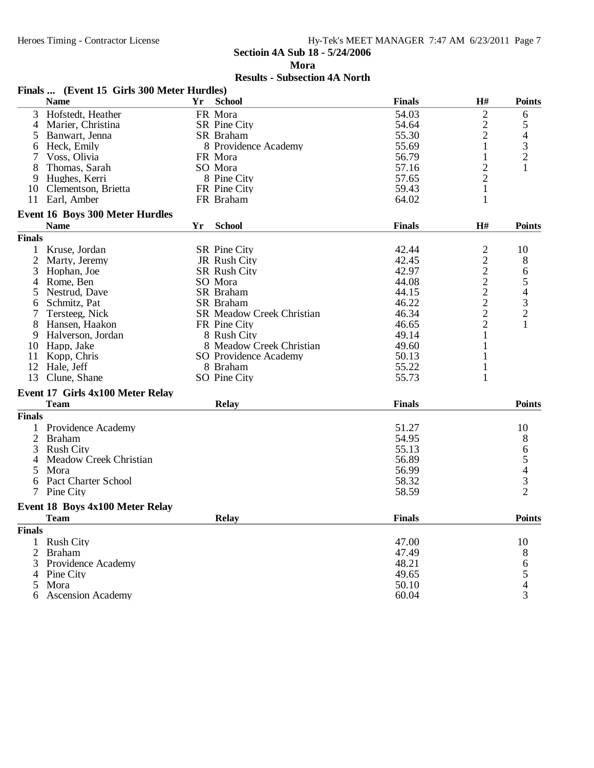**Mora**

|                | Finals  (Event 15 Girls 300 Meter Hurdles)            |    |                                  |               |                |                                                 |
|----------------|-------------------------------------------------------|----|----------------------------------|---------------|----------------|-------------------------------------------------|
|                | <b>Name</b>                                           | Yr | <b>School</b>                    | <b>Finals</b> | H#             | <b>Points</b>                                   |
| 3              | Hofstedt, Heather                                     |    | FR Mora                          | 54.03         | $\overline{c}$ | 6                                               |
| $\overline{4}$ | Marier, Christina                                     |    | <b>SR</b> Pine City              | 54.64         |                | 5                                               |
| $\mathfrak{H}$ | Banwart, Jenna                                        |    | SR Braham                        | 55.30         | $\frac{2}{2}$  | $\overline{\mathcal{L}}$                        |
| 6              | Heck, Emily                                           |    | 8 Providence Academy             | 55.69         | $\mathbf 1$    | 3                                               |
|                | Voss, Olivia                                          |    | FR Mora                          | 56.79         | 1              | $\overline{2}$                                  |
| 8              | Thomas, Sarah                                         |    | SO Mora                          | 57.16         | $\overline{c}$ |                                                 |
| 9              | Hughes, Kerri                                         |    | 8 Pine City                      | 57.65         | $\overline{c}$ |                                                 |
| 10             | Clementson, Brietta                                   |    | FR Pine City                     | 59.43         | 1              |                                                 |
| 11             | Earl, Amber                                           |    | FR Braham                        | 64.02         | 1              |                                                 |
|                |                                                       |    |                                  |               |                |                                                 |
|                | <b>Event 16 Boys 300 Meter Hurdles</b><br><b>Name</b> | Yr | <b>School</b>                    | <b>Finals</b> | H#             | <b>Points</b>                                   |
| <b>Finals</b>  |                                                       |    |                                  |               |                |                                                 |
| $\mathbf{1}$   |                                                       |    |                                  |               |                |                                                 |
|                | Kruse, Jordan                                         |    | <b>SR</b> Pine City              | 42.44         | $\overline{c}$ | 10                                              |
| $\overline{2}$ | Marty, Jeremy                                         |    | JR Rush City                     | 42.45         | $\overline{c}$ | 8                                               |
| 3              | Hophan, Joe                                           |    | <b>SR Rush City</b>              | 42.97         | $\overline{c}$ | 6                                               |
| 4              | Rome, Ben                                             |    | SO Mora                          | 44.08         | $\frac{2}{2}$  |                                                 |
| $\mathfrak{S}$ | Nestrud, Dave                                         |    | SR Braham                        | 44.15         |                |                                                 |
| 6              | Schmitz, Pat                                          |    | SR Braham                        | 46.22         | $\overline{c}$ | $\begin{array}{c} 54 \\ 43 \\ 2 \end{array}$    |
| 7              | Tersteeg, Nick                                        |    | <b>SR Meadow Creek Christian</b> | 46.34         | $\frac{2}{2}$  |                                                 |
| 8              | Hansen, Haakon                                        |    | FR Pine City                     | 46.65         |                |                                                 |
| 9              | Halverson, Jordan                                     |    | 8 Rush City                      | 49.14         | 1              |                                                 |
| 10             | Happ, Jake                                            |    | 8 Meadow Creek Christian         | 49.60         |                |                                                 |
| 11             | Kopp, Chris                                           |    | SO Providence Academy            | 50.13         | 1              |                                                 |
| 12             | Hale, Jeff                                            |    | 8 Braham                         | 55.22         | $\mathbf{1}$   |                                                 |
| 13             | Clune, Shane                                          |    | SO Pine City                     | 55.73         | 1              |                                                 |
|                | Event 17 Girls 4x100 Meter Relay                      |    |                                  |               |                |                                                 |
|                | <b>Team</b>                                           |    | <b>Relay</b>                     | <b>Finals</b> |                | <b>Points</b>                                   |
| <b>Finals</b>  |                                                       |    |                                  |               |                |                                                 |
|                | Providence Academy                                    |    |                                  | 51.27         |                | 10                                              |
| 2              | <b>Braham</b>                                         |    |                                  | 54.95         |                | 8                                               |
| 3              | <b>Rush City</b>                                      |    |                                  | 55.13         |                | 6                                               |
| 4              | Meadow Creek Christian                                |    |                                  | 56.89         |                |                                                 |
| 5              | Mora                                                  |    |                                  | 56.99         |                |                                                 |
| 6              | <b>Pact Charter School</b>                            |    |                                  | 58.32         |                |                                                 |
|                | Pine City                                             |    |                                  | 58.59         |                | $\begin{array}{c} 5 \\ 4 \\ 3 \\ 2 \end{array}$ |
|                |                                                       |    |                                  |               |                |                                                 |
|                | <b>Event 18 Boys 4x100 Meter Relay</b>                |    |                                  |               |                |                                                 |
|                | Team                                                  |    | <b>Relay</b>                     | <b>Finals</b> |                | <b>Points</b>                                   |
| <b>Finals</b>  |                                                       |    |                                  |               |                |                                                 |
|                | 1 Rush City                                           |    |                                  | 47.00         |                | 10                                              |
| $\overline{2}$ | <b>Braham</b>                                         |    |                                  | 47.49         |                | 8                                               |
| 3              | Providence Academy                                    |    |                                  | 48.21         |                | 6<br>5<br>4                                     |
|                | 4 Pine City                                           |    |                                  | 49.65         |                |                                                 |
| 5              | Mora                                                  |    |                                  | 50.10         |                |                                                 |
|                | <b>Ascension Academy</b>                              |    |                                  | 60.04         |                | $\overline{3}$                                  |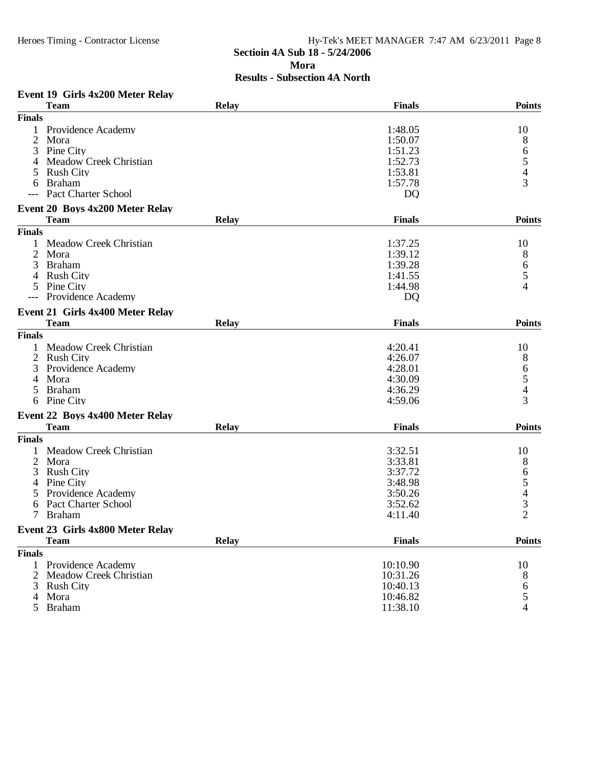# Heroes Timing - Contractor License Hy-Tek's MEET MANAGER 7:47 AM 6/23/2011 Page 8 **Sectioin 4A Sub 18 - 5/24/2006 Mora Results - Subsection 4A North**

### **Event 19 Girls 4x200 Meter Relay**

| <b>Team</b>                              | Relay        | <b>Finals</b> | <b>Points</b>                                   |
|------------------------------------------|--------------|---------------|-------------------------------------------------|
| <b>Finals</b>                            |              |               |                                                 |
| Providence Academy                       |              | 1:48.05       | 10                                              |
| $\overline{2}$<br>Mora                   |              | 1:50.07       | 8                                               |
| 3<br>Pine City                           |              | 1:51.23       | 6                                               |
| Meadow Creek Christian<br>4              |              | 1:52.73       |                                                 |
| <b>Rush City</b><br>5                    |              | 1:53.81       | $\frac{5}{4}$                                   |
| <b>Braham</b><br>6                       |              | 1:57.78       | 3                                               |
| <b>Pact Charter School</b>               |              | DQ            |                                                 |
| Event 20 Boys 4x200 Meter Relay          |              |               |                                                 |
| <b>Team</b>                              | <b>Relay</b> | <b>Finals</b> | <b>Points</b>                                   |
| <b>Finals</b>                            |              |               |                                                 |
| <b>Meadow Creek Christian</b><br>1       |              | 1:37.25       | 10                                              |
| $\overline{2}$<br>Mora                   |              | 1:39.12       | 8                                               |
| 3<br><b>Braham</b>                       |              | 1:39.28       | 6                                               |
| <b>Rush City</b><br>4                    |              | 1:41.55       | 5                                               |
| Pine City<br>5                           |              | 1:44.98       | 4                                               |
| Providence Academy<br>$---$              |              | <b>DQ</b>     |                                                 |
| Event 21 Girls 4x400 Meter Relay         |              |               |                                                 |
| <b>Team</b>                              | <b>Relay</b> | <b>Finals</b> | <b>Points</b>                                   |
| <b>Finals</b>                            |              |               |                                                 |
| Meadow Creek Christian<br>1              |              | 4:20.41       | 10                                              |
| 2<br><b>Rush City</b>                    |              | 4:26.07       | 8                                               |
| Providence Academy<br>3                  |              | 4:28.01       | 6                                               |
| Mora<br>4                                |              | 4:30.09       | 5                                               |
| <b>Braham</b><br>5.                      |              | 4:36.29       | $\overline{4}$                                  |
| Pine City<br>6                           |              | 4:59.06       | 3                                               |
| Event 22 Boys 4x400 Meter Relay          |              |               |                                                 |
| <b>Team</b>                              | <b>Relay</b> | <b>Finals</b> | <b>Points</b>                                   |
| <b>Finals</b>                            |              |               |                                                 |
| <b>Meadow Creek Christian</b>            |              | 3:32.51       | 10                                              |
| $\overline{2}$<br>Mora                   |              | 3:33.81       | 8                                               |
| 3<br><b>Rush City</b>                    |              | 3:37.72       | 6                                               |
| Pine City<br>4                           |              | 3:48.98       |                                                 |
| Providence Academy<br>5                  |              | 3:50.26       |                                                 |
| <b>Pact Charter School</b><br>6          |              | 3:52.62       |                                                 |
| <b>Braham</b><br>7                       |              | 4:11.40       | $\begin{array}{c} 5 \\ 4 \\ 3 \\ 2 \end{array}$ |
| Event 23 Girls 4x800 Meter Relay         |              |               |                                                 |
| <b>Team</b>                              | <b>Relay</b> | <b>Finals</b> | <b>Points</b>                                   |
| <b>Finals</b>                            |              |               |                                                 |
| Providence Academy<br>1                  |              | 10:10.90      | 10                                              |
| $\overline{2}$<br>Meadow Creek Christian |              | 10:31.26      | 8                                               |
| 3<br><b>Rush City</b>                    |              | 10:40.13      | 6                                               |
| Mora<br>4                                |              | 10:46.82      | 5                                               |
| <b>Braham</b><br>5                       |              | 11:38.10      | 4                                               |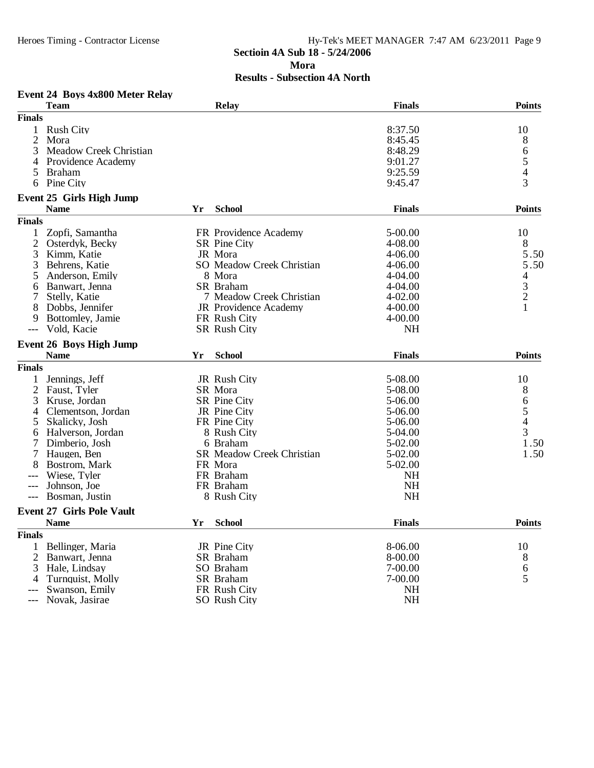#### Heroes Timing - Contractor License Hy-Tek's MEET MANAGER 7:47 AM 6/23/2011 Page 9 **Sectioin 4A Sub 18 - 5/24/2006 Mora Results - Subsection 4A North**

#### **Event 24 Boys 4x800 Meter Relay**

|                | <b>Team</b>                      |    | <b>Relay</b>                 | <b>Finals</b> | <b>Points</b>                              |
|----------------|----------------------------------|----|------------------------------|---------------|--------------------------------------------|
| <b>Finals</b>  |                                  |    |                              |               |                                            |
| $\mathbf{1}$   | <b>Rush City</b>                 |    |                              | 8:37.50       | 10                                         |
| $\overline{2}$ | Mora                             |    |                              | 8:45.45       | 8                                          |
| 3              | Meadow Creek Christian           |    |                              | 8:48.29       |                                            |
| 4              | Providence Academy               |    |                              | 9:01.27       | $\begin{array}{c} 6 \\ 5 \\ 4 \end{array}$ |
| 5              | <b>Braham</b>                    |    |                              | 9:25.59       |                                            |
|                | 6 Pine City                      |    |                              | 9:45.47       | $\overline{3}$                             |
|                | <b>Event 25 Girls High Jump</b>  |    |                              |               |                                            |
|                | <b>Name</b>                      | Yr | <b>School</b>                | <b>Finals</b> | <b>Points</b>                              |
| <b>Finals</b>  |                                  |    |                              |               |                                            |
| 1              | Zopfi, Samantha                  |    | FR Providence Academy        | 5-00.00       | 10                                         |
| $\mathfrak{2}$ | Osterdyk, Becky                  |    | SR Pine City                 | 4-08.00       | 8                                          |
| 3              | Kimm, Katie                      |    | JR Mora                      | 4-06.00       | 5.50                                       |
|                |                                  |    | SO Meadow Creek Christian    | 4-06.00       | 5.50                                       |
| 3              | Behrens, Katie                   |    |                              |               |                                            |
| 5              | Anderson, Emily                  |    | 8 Mora                       | 4-04.00       | $\overline{4}$                             |
| 6              | Banwart, Jenna                   |    | SR Braham                    | 4-04.00       | 3                                          |
|                | Stelly, Katie                    |    | 7 Meadow Creek Christian     | $4 - 02.00$   | $\overline{2}$                             |
| 8              | Dobbs, Jennifer                  |    | <b>JR</b> Providence Academy | 4-00.00       | $\mathbf{1}$                               |
| 9              | Bottomley, Jamie                 |    | FR Rush City                 | 4-00.00       |                                            |
| $---$          | Vold, Kacie                      |    | SR Rush City                 | NH            |                                            |
|                | <b>Event 26 Boys High Jump</b>   |    |                              |               |                                            |
|                | <b>Name</b>                      | Yr | <b>School</b>                | <b>Finals</b> | <b>Points</b>                              |
| <b>Finals</b>  |                                  |    |                              |               |                                            |
| 1              | Jennings, Jeff                   |    | JR Rush City                 | 5-08.00       | 10                                         |
| 2              | Faust, Tyler                     |    | SR Mora                      | 5-08.00       | 8                                          |
| 3              | Kruse, Jordan                    |    | SR Pine City                 | 5-06.00       |                                            |
| 4              | Clementson, Jordan               |    | JR Pine City                 | 5-06.00       | $\begin{array}{c} 6 \\ 5 \\ 4 \end{array}$ |
| 5              | Skalicky, Josh                   |    | FR Pine City                 | 5-06.00       |                                            |
| 6              | Halverson, Jordan                |    | 8 Rush City                  | 5-04.00       | 3                                          |
| 7              | Dimberio, Josh                   |    | 6 Braham                     | 5-02.00       | 1.50                                       |
| 7              | Haugen, Ben                      |    | SR Meadow Creek Christian    | 5-02.00       | 1.50                                       |
| 8              | Bostrom, Mark                    |    | FR Mora                      | 5-02.00       |                                            |
|                | Wiese, Tyler                     |    | FR Braham                    | NH            |                                            |
|                | Johnson, Joe                     |    | FR Braham                    | <b>NH</b>     |                                            |
| $---$          | Bosman, Justin                   |    | 8 Rush City                  | <b>NH</b>     |                                            |
|                |                                  |    |                              |               |                                            |
|                | <b>Event 27 Girls Pole Vault</b> |    |                              |               |                                            |
|                | <b>Name</b>                      | Yr | <b>School</b>                | <b>Finals</b> | <b>Points</b>                              |
| <b>Finals</b>  |                                  |    |                              |               |                                            |
|                | Bellinger, Maria                 |    | JR Pine City                 | 8-06.00       | 10                                         |
|                | 2 Banwart, Jenna                 |    | SR Braham                    | 8-00.00       | 8                                          |
| 3              | Hale, Lindsay                    |    | SO Braham                    | 7-00.00       | 6                                          |
| 4              | Turnquist, Molly                 |    | SR Braham                    | 7-00.00       | 5                                          |
|                | Swanson, Emily                   |    | FR Rush City                 | <b>NH</b>     |                                            |
|                | Novak, Jasirae                   |    | SO Rush City                 | <b>NH</b>     |                                            |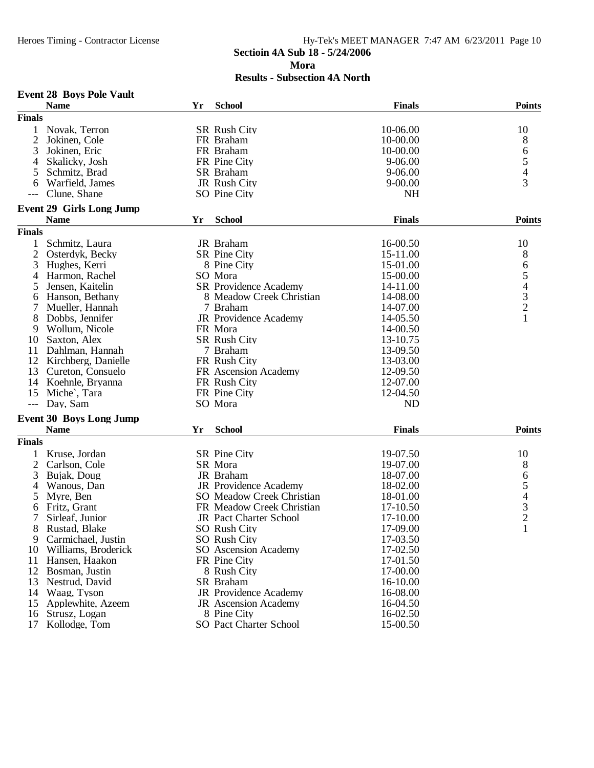#### Heroes Timing - Contractor License Hy-Tek's MEET MANAGER 7:47 AM 6/23/2011 Page 10 **Sectioin 4A Sub 18 - 5/24/2006 Mora**

|                | <b>Event 28 Boys Pole Vault</b> |    |                               |               |                            |
|----------------|---------------------------------|----|-------------------------------|---------------|----------------------------|
|                | <b>Name</b>                     | Yr | <b>School</b>                 | <b>Finals</b> | <b>Points</b>              |
| <b>Finals</b>  |                                 |    |                               |               |                            |
|                | Novak, Terron                   |    | <b>SR Rush City</b>           | 10-06.00      | 10                         |
| $\overline{2}$ | Jokinen, Cole                   |    | FR Braham                     | 10-00.00      | 8                          |
| 3              | Jokinen, Eric                   |    | FR Braham                     | 10-00.00      |                            |
| 4              | Skalicky, Josh                  |    | FR Pine City                  | 9-06.00       | $rac{6}{5}$<br>$rac{4}{3}$ |
| 5              | Schmitz, Brad                   |    | SR Braham                     | 9-06.00       |                            |
| 6              | Warfield, James                 |    | JR Rush City                  | $9 - 00.00$   |                            |
|                | Clune, Shane                    |    | SO Pine City                  | <b>NH</b>     |                            |
|                | <b>Event 29 Girls Long Jump</b> |    |                               |               |                            |
|                | <b>Name</b>                     | Yr | <b>School</b>                 | <b>Finals</b> | <b>Points</b>              |
| <b>Finals</b>  |                                 |    |                               |               |                            |
|                | Schmitz, Laura                  |    | JR Braham                     | 16-00.50      | 10                         |
| $\mathbf{2}$   | Osterdyk, Becky                 |    | <b>SR</b> Pine City           | 15-11.00      | 8                          |
| 3              | Hughes, Kerri                   |    | 8 Pine City                   | 15-01.00      |                            |
| 4              | Harmon, Rachel                  |    | SO Mora                       | 15-00.00      |                            |
| 5              | Jensen, Kaitelin                |    | SR Providence Academy         | 14-11.00      |                            |
| 6              | Hanson, Bethany                 |    | 8 Meadow Creek Christian      | 14-08.00      |                            |
|                | Mueller, Hannah                 |    | 7 Braham                      | 14-07.00      |                            |
| 8              | Dobbs, Jennifer                 |    | JR Providence Academy         | 14-05.50      | 654321                     |
| 9              | Wollum, Nicole                  |    | FR Mora                       | 14-00.50      |                            |
| 10             | Saxton, Alex                    |    | <b>SR Rush City</b>           | 13-10.75      |                            |
| 11             | Dahlman, Hannah                 |    | 7 Braham                      | 13-09.50      |                            |
| 12             | Kirchberg, Danielle             |    | FR Rush City                  | 13-03.00      |                            |
| 13             | Cureton, Consuelo               |    | FR Ascension Academy          | 12-09.50      |                            |
| 14             | Koehnle, Bryanna                |    | FR Rush City                  | 12-07.00      |                            |
| 15             | Miche <sup>2</sup> , Tara       |    | FR Pine City                  | 12-04.50      |                            |
| $---$          | Day, Sam                        |    | SO Mora                       | <b>ND</b>     |                            |
|                |                                 |    |                               |               |                            |
|                | <b>Event 30 Boys Long Jump</b>  |    |                               |               | <b>Points</b>              |
|                | <b>Name</b>                     | Yr | <b>School</b>                 | <b>Finals</b> |                            |
| <b>Finals</b>  |                                 |    |                               |               |                            |
|                | Kruse, Jordan                   |    | SR Pine City                  | 19-07.50      | 10                         |
| $\overline{2}$ | Carlson, Cole                   |    | SR Mora                       | 19-07.00      | 8                          |
| 3              | Bujak, Doug                     |    | JR Braham                     | 18-07.00      |                            |
| 4              | Wanous, Dan                     |    | JR Providence Academy         | 18-02.00      | 65432                      |
| 5              | Myre, Ben                       |    | SO Meadow Creek Christian     | 18-01.00      |                            |
| 6              | Fritz, Grant                    |    | FR Meadow Creek Christian     | 17-10.50      |                            |
| 7              | Sirleaf, Junior                 |    | JR Pact Charter School        | 17-10.00      |                            |
| 8              | Rustad, Blake                   |    | SO Rush City                  | 17-09.00      | $\mathbf{1}$               |
| 9              | Carmichael, Justin              |    | SO Rush City                  | 17-03.50      |                            |
| 10             | Williams, Broderick             |    | <b>SO</b> Ascension Academy   | 17-02.50      |                            |
| 11             | Hansen, Haakon                  |    | FR Pine City                  | 17-01.50      |                            |
| 12             | Bosman, Justin                  |    | 8 Rush City                   | 17-00.00      |                            |
| 13             | Nestrud, David                  |    | SR Braham                     | 16-10.00      |                            |
| 14             | Waag, Tyson                     |    | JR Providence Academy         | 16-08.00      |                            |
| 15             | Applewhite, Azeem               |    | <b>JR</b> Ascension Academy   | 16-04.50      |                            |
| 16             | Strusz, Logan                   |    | 8 Pine City                   | 16-02.50      |                            |
| 17             | Kollodge, Tom                   |    | <b>SO Pact Charter School</b> | 15-00.50      |                            |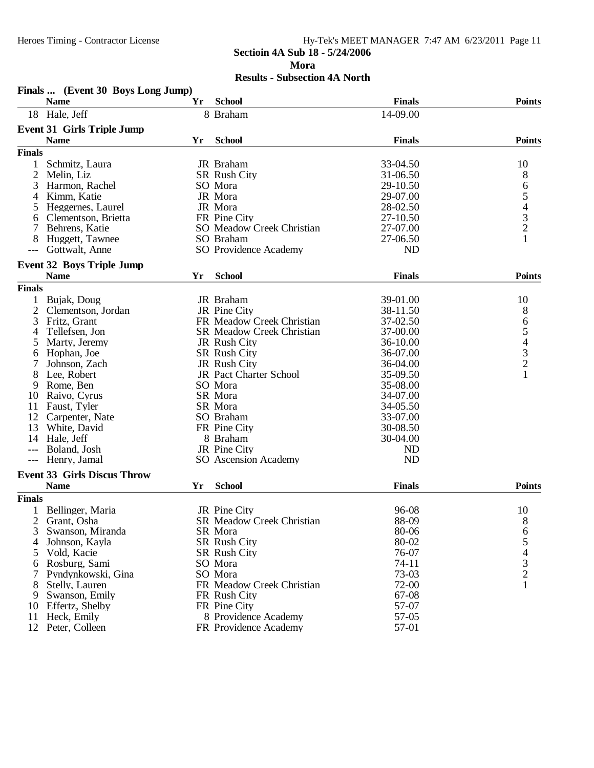**Finals ... (Event 30 Boys Long Jump)**

#### Heroes Timing - Contractor License Hy-Tek's MEET MANAGER 7:47 AM 6/23/2011 Page 11 **Sectioin 4A Sub 18 - 5/24/2006 Mora Results - Subsection 4A North**

|                | <b>Name</b>                        | Yr | <b>School</b>                                    | <b>Finals</b>        | <b>Points</b>                                   |
|----------------|------------------------------------|----|--------------------------------------------------|----------------------|-------------------------------------------------|
|                | 18 Hale, Jeff                      |    | 8 Braham                                         | 14-09.00             |                                                 |
|                | <b>Event 31 Girls Triple Jump</b>  |    |                                                  |                      |                                                 |
|                | <b>Name</b>                        | Yr | <b>School</b>                                    | <b>Finals</b>        | <b>Points</b>                                   |
| <b>Finals</b>  |                                    |    |                                                  |                      |                                                 |
| $\mathbf{1}$   | Schmitz, Laura                     |    | JR Braham                                        | 33-04.50             | 10                                              |
| 2              | Melin, Liz                         |    | SR Rush City                                     | 31-06.50             | 8                                               |
| 3              | Harmon, Rachel                     |    | SO Mora                                          | 29-10.50             | 6                                               |
| 4              | Kimm, Katie                        |    | JR Mora                                          | 29-07.00             |                                                 |
|                |                                    |    | JR Mora                                          | 28-02.50             | $\begin{array}{c} 5 \\ 4 \\ 3 \\ 2 \end{array}$ |
| 5              | Heggernes, Laurel                  |    |                                                  |                      |                                                 |
| 6<br>7         | Clementson, Brietta                |    | FR Pine City<br><b>SO</b> Meadow Creek Christian | 27-10.50<br>27-07.00 |                                                 |
|                | Behrens, Katie                     |    |                                                  |                      | $\mathbf{1}$                                    |
| 8              | Huggett, Tawnee                    |    | SO Braham                                        | 27-06.50             |                                                 |
|                | Gottwalt, Anne                     |    | SO Providence Academy                            | N <sub>D</sub>       |                                                 |
|                | <b>Event 32 Boys Triple Jump</b>   |    |                                                  |                      |                                                 |
|                | <b>Name</b>                        | Yr | <b>School</b>                                    | <b>Finals</b>        | <b>Points</b>                                   |
| <b>Finals</b>  |                                    |    |                                                  |                      |                                                 |
| 1              | Bujak, Doug                        |    | JR Braham                                        | 39-01.00             | 10                                              |
| $\overline{2}$ | Clementson, Jordan                 |    | JR Pine City                                     | 38-11.50             | 8                                               |
| 3              | Fritz, Grant                       |    | FR Meadow Creek Christian                        | 37-02.50             |                                                 |
| 4              | Tellefsen, Jon                     |    | <b>SR Meadow Creek Christian</b>                 | 37-00.00             |                                                 |
| 5              | Marty, Jeremy                      |    | JR Rush City                                     | 36-10.00             |                                                 |
| 6              | Hophan, Joe                        |    | <b>SR Rush City</b>                              | 36-07.00             |                                                 |
|                | Johnson, Zach                      |    | JR Rush City                                     | 36-04.00             | 65432                                           |
| 8              | Lee, Robert                        |    | JR Pact Charter School                           | 35-09.50             | $\mathbf{1}$                                    |
| 9              | Rome, Ben                          |    | SO Mora                                          | 35-08.00             |                                                 |
| 10             | Raivo, Cyrus                       |    | SR Mora                                          | 34-07.00             |                                                 |
| 11             | Faust, Tyler                       |    | SR Mora                                          | 34-05.50             |                                                 |
| 12             | Carpenter, Nate                    |    | SO Braham                                        | 33-07.00             |                                                 |
| 13             | White, David                       |    | FR Pine City                                     | 30-08.50             |                                                 |
| 14             | Hale, Jeff                         |    | 8 Braham                                         | 30-04.00             |                                                 |
| ---            | Boland, Josh                       |    | JR Pine City                                     | <b>ND</b>            |                                                 |
| $---$          | Henry, Jamal                       |    | SO Ascension Academy                             | <b>ND</b>            |                                                 |
|                | <b>Event 33 Girls Discus Throw</b> |    |                                                  |                      |                                                 |
|                | <b>Name</b>                        | Yr | <b>School</b>                                    | <b>Finals</b>        | <b>Points</b>                                   |
| <b>Finals</b>  |                                    |    |                                                  |                      |                                                 |
|                | Bellinger, Maria                   |    | JR Pine City                                     | 96-08                | 10                                              |
|                |                                    |    | <b>SR Meadow Creek Christian</b>                 | 88-09                |                                                 |
| 2              | Grant, Osha                        |    |                                                  |                      | 8                                               |
|                | 3 Swanson, Miranda                 |    | SR Mora                                          | 80-06                | 6                                               |
| 4              | Johnson, Kayla                     |    | <b>SR Rush City</b>                              | 80-02                | 5                                               |
| 5              | Vold, Kacie                        |    | <b>SR Rush City</b>                              | 76-07                | 4                                               |
| 6              | Rosburg, Sami                      |    | SO Mora                                          | $74 - 11$            | $\frac{3}{2}$                                   |
|                | Pyndynkowski, Gina                 |    | SO Mora                                          | 73-03                |                                                 |
| 8              | Stelly, Lauren                     |    | FR Meadow Creek Christian                        | 72-00                | 1                                               |
| 9              | Swanson, Emily                     |    | FR Rush City                                     | 67-08                |                                                 |
| 10             | Effertz, Shelby                    |    | FR Pine City                                     | 57-07                |                                                 |
| 11             | Heck, Emily                        |    | 8 Providence Academy                             | 57-05                |                                                 |
| 12             | Peter, Colleen                     |    | FR Providence Academy                            | 57-01                |                                                 |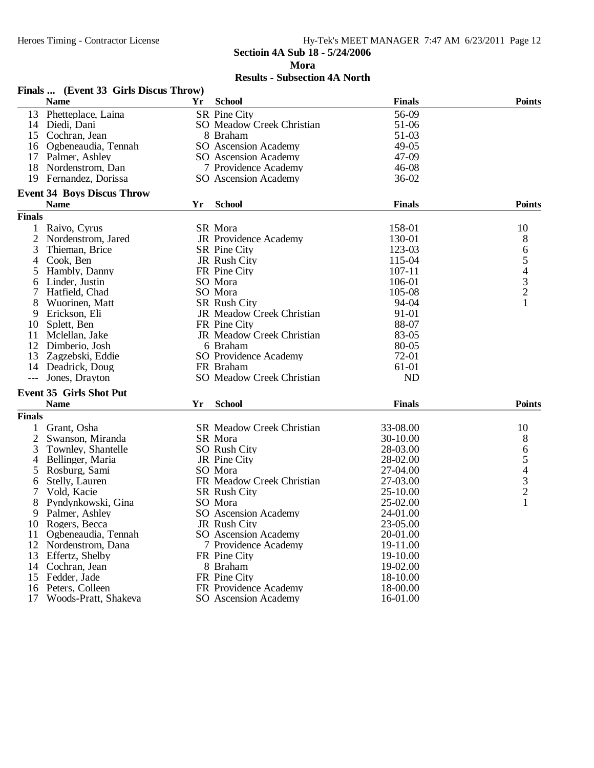**Mora**

|                | Finals  (Event 33 Girls Discus Throw) |    |                                  |               |               |
|----------------|---------------------------------------|----|----------------------------------|---------------|---------------|
|                | <b>Name</b>                           | Yr | <b>School</b>                    | <b>Finals</b> | <b>Points</b> |
| 13             | Phetteplace, Laina                    |    | SR Pine City                     | 56-09         |               |
|                | 14 Diedi, Dani                        |    | <b>SO</b> Meadow Creek Christian | 51-06         |               |
|                | 15 Cochran, Jean                      |    | 8 Braham                         | 51-03         |               |
|                | 16 Ogbeneaudia, Tennah                |    | SO Ascension Academy             | 49-05         |               |
|                | 17 Palmer, Ashley                     |    | SO Ascension Academy             | 47-09         |               |
|                | 18 Nordenstrom, Dan                   |    | 7 Providence Academy             | $46 - 08$     |               |
| 19             | Fernandez, Dorissa                    |    | SO Ascension Academy             | 36-02         |               |
|                | <b>Event 34 Boys Discus Throw</b>     |    |                                  |               |               |
|                | <b>Name</b>                           | Yr | <b>School</b>                    | <b>Finals</b> | <b>Points</b> |
| <b>Finals</b>  |                                       |    |                                  |               |               |
| 1              | Raivo, Cyrus                          |    | SR Mora                          | 158-01        | 10            |
| $\overline{c}$ | Nordenstrom, Jared                    |    | JR Providence Academy            | 130-01        | 8             |
| 3              | Thieman, Brice                        |    | SR Pine City                     | 123-03        |               |
| 4              | Cook, Ben                             |    | JR Rush City                     | 115-04        | 65432         |
|                |                                       |    |                                  | $107 - 11$    |               |
| 5              | Hambly, Danny                         |    | FR Pine City                     | 106-01        |               |
| 6              | Linder, Justin                        |    | SO Mora                          |               |               |
|                | Hatfield, Chad                        |    | SO Mora                          | 105-08        |               |
| 8              | Wuorinen, Matt                        |    | <b>SR Rush City</b>              | 94-04         | $\mathbf{1}$  |
| 9              | Erickson, Eli                         |    | JR Meadow Creek Christian        | 91-01         |               |
| 10             | Splett, Ben                           |    | FR Pine City                     | 88-07         |               |
| 11             | Mclellan, Jake                        |    | JR Meadow Creek Christian        | 83-05         |               |
| 12             | Dimberio, Josh                        |    | 6 Braham                         | 80-05         |               |
| 13             | Zagzebski, Eddie                      |    | SO Providence Academy            | 72-01         |               |
| 14             | Deadrick, Doug                        |    | FR Braham                        | 61-01         |               |
| $---$          | Jones, Drayton                        |    | <b>SO</b> Meadow Creek Christian | <b>ND</b>     |               |
|                | <b>Event 35 Girls Shot Put</b>        |    |                                  |               |               |
|                | <b>Name</b>                           | Yr | <b>School</b>                    | <b>Finals</b> | <b>Points</b> |
| <b>Finals</b>  |                                       |    |                                  |               |               |
| 1              | Grant, Osha                           |    | <b>SR Meadow Creek Christian</b> | 33-08.00      | 10            |
| 2              | Swanson, Miranda                      |    | SR Mora                          | 30-10.00      | 8             |
| 3              | Townley, Shantelle                    |    | SO Rush City                     | 28-03.00      |               |
| 4              | Bellinger, Maria                      |    | JR Pine City                     | 28-02.00      | 65432         |
| 5              | Rosburg, Sami                         |    | SO Mora                          | 27-04.00      |               |
| 6              | Stelly, Lauren                        |    | FR Meadow Creek Christian        | 27-03.00      |               |
| 7              | Vold, Kacie                           |    | <b>SR Rush City</b>              | 25-10.00      |               |
| 8              | Pyndynkowski, Gina                    |    | SO Mora                          | 25-02.00      | $\mathbf{1}$  |
| 9              | Palmer, Ashley                        |    | <b>SO</b> Ascension Academy      | 24-01.00      |               |
| 10             | Rogers, Becca                         |    | JR Rush City                     | 23-05.00      |               |
| 11             | Ogbeneaudia, Tennah                   |    | SO Ascension Academy             | 20-01.00      |               |
| 12             | Nordenstrom, Dana                     |    | 7 Providence Academy             | 19-11.00      |               |
| 13             | Effertz, Shelby                       |    | FR Pine City                     | 19-10.00      |               |
| 14             | Cochran, Jean                         |    | 8 Braham                         | 19-02.00      |               |
| 15             | Fedder, Jade                          |    | FR Pine City                     | 18-10.00      |               |
| 16             | Peters, Colleen                       |    | FR Providence Academy            | 18-00.00      |               |
| 17             | Woods-Pratt, Shakeva                  |    | SO Ascension Academy             | 16-01.00      |               |
|                |                                       |    |                                  |               |               |